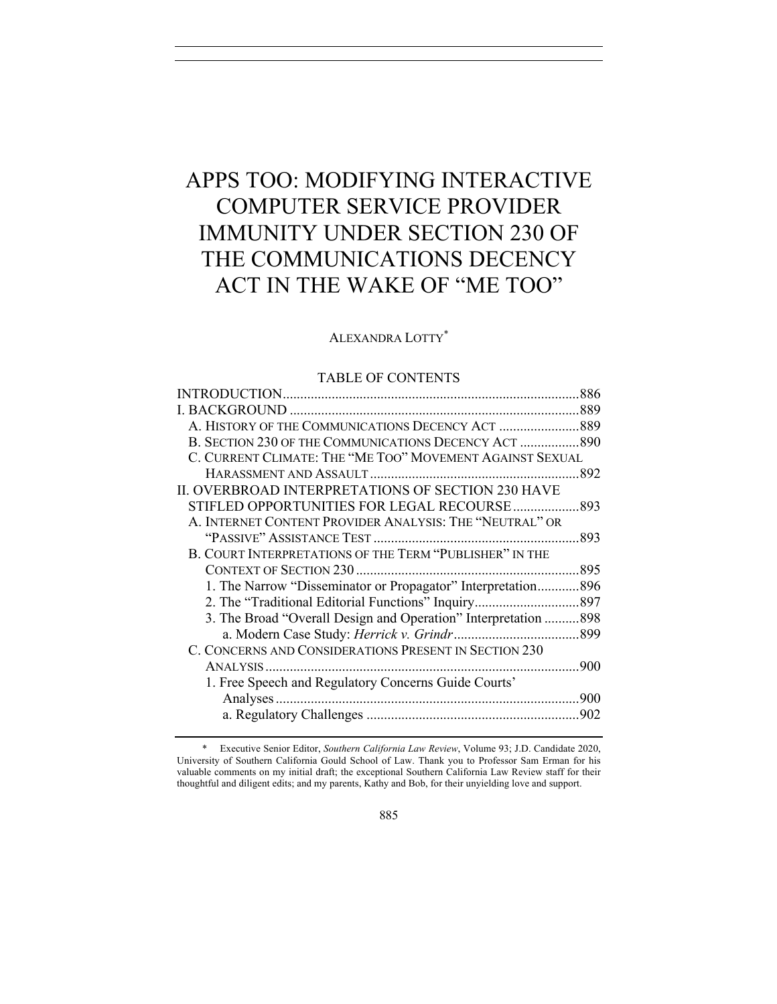# APPS TOO: MODIFYING INTERACTIVE COMPUTER SERVICE PROVIDER IMMUNITY UNDER SECTION 230 OF THE COMMUNICATIONS DECENCY ACT IN THE WAKE OF "ME TOO"

## ALEXANDRA LOTTY\*

#### TABLE OF CONTENTS

|                                                                 | .886 |
|-----------------------------------------------------------------|------|
|                                                                 |      |
| A. HISTORY OF THE COMMUNICATIONS DECENCY ACT 889                |      |
| B. SECTION 230 OF THE COMMUNICATIONS DECENCY ACT  890           |      |
| C. CURRENT CLIMATE: THE "ME TOO" MOVEMENT AGAINST SEXUAL        |      |
|                                                                 |      |
| II. OVERBROAD INTERPRETATIONS OF SECTION 230 HAVE               |      |
| STIFLED OPPORTUNITIES FOR LEGAL RECOURSE 893                    |      |
| A. INTERNET CONTENT PROVIDER ANALYSIS: THE "NEUTRAL" OR         |      |
|                                                                 |      |
| B. COURT INTERPRETATIONS OF THE TERM "PUBLISHER" IN THE         |      |
|                                                                 | .895 |
| 1. The Narrow "Disseminator or Propagator" Interpretation896    |      |
|                                                                 |      |
| 3. The Broad "Overall Design and Operation" Interpretation  898 |      |
|                                                                 |      |
| C. CONCERNS AND CONSIDERATIONS PRESENT IN SECTION 230           |      |
|                                                                 | .900 |
| 1. Free Speech and Regulatory Concerns Guide Courts'            |      |
|                                                                 | 900  |
|                                                                 |      |
|                                                                 |      |

\* Executive Senior Editor, *Southern California Law Review*, Volume 93; J.D. Candidate 2020, University of Southern California Gould School of Law. Thank you to Professor Sam Erman for his valuable comments on my initial draft; the exceptional Southern California Law Review staff for their thoughtful and diligent edits; and my parents, Kathy and Bob, for their unyielding love and support.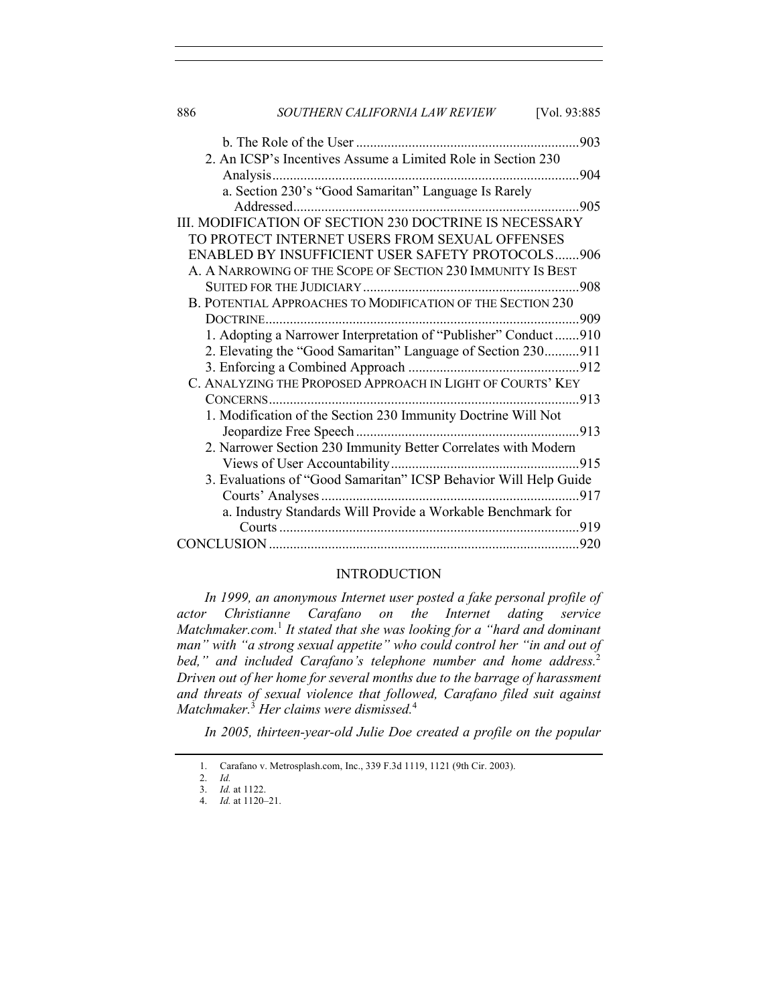| 886 | SOUTHERN CALIFORNIA LAW REVIEW<br>[Vol. 93:885]                  |
|-----|------------------------------------------------------------------|
|     |                                                                  |
|     | 2. An ICSP's Incentives Assume a Limited Role in Section 230     |
|     |                                                                  |
|     |                                                                  |
|     | .905                                                             |
|     | III. MODIFICATION OF SECTION 230 DOCTRINE IS NECESSARY           |
|     | TO PROTECT INTERNET USERS FROM SEXUAL OFFENSES                   |
|     | <b>ENABLED BY INSUFFICIENT USER SAFETY PROTOCOLS906</b>          |
|     | A. A NARROWING OF THE SCOPE OF SECTION 230 IMMUNITY IS BEST      |
|     |                                                                  |
|     | B. POTENTIAL APPROACHES TO MODIFICATION OF THE SECTION 230       |
|     |                                                                  |
|     | 1. Adopting a Narrower Interpretation of "Publisher" Conduct910  |
|     | 2. Elevating the "Good Samaritan" Language of Section 230911     |
|     |                                                                  |
|     | C. ANALYZING THE PROPOSED APPROACH IN LIGHT OF COURTS' KEY       |
|     |                                                                  |
|     | 1. Modification of the Section 230 Immunity Doctrine Will Not    |
|     |                                                                  |
|     | 2. Narrower Section 230 Immunity Better Correlates with Modern   |
|     |                                                                  |
|     | 3. Evaluations of "Good Samaritan" ICSP Behavior Will Help Guide |
|     |                                                                  |
|     | a. Industry Standards Will Provide a Workable Benchmark for      |
|     |                                                                  |
|     |                                                                  |

## INTRODUCTION

*In 1999, an anonymous Internet user posted a fake personal profile of actor Christianne Carafano on the Internet dating service Matchmaker.com.*<sup>1</sup> *It stated that she was looking for a "hard and dominant man" with "a strong sexual appetite" who could control her "in and out of bed," and included Carafano's telephone number and home address.*<sup>2</sup> *Driven out of her home for several months due to the barrage of harassment and threats of sexual violence that followed, Carafano filed suit against Matchmaker.*<sup>3</sup> *Her claims were dismissed.*<sup>4</sup>

*In 2005, thirteen-year-old Julie Doe created a profile on the popular* 

<sup>1.</sup> Carafano v. Metrosplash.com, Inc., 339 F.3d 1119, 1121 (9th Cir. 2003).

<sup>2.</sup> *Id.*

<sup>3.</sup> *Id.* at 1122. 4. *Id.* at 1120–21.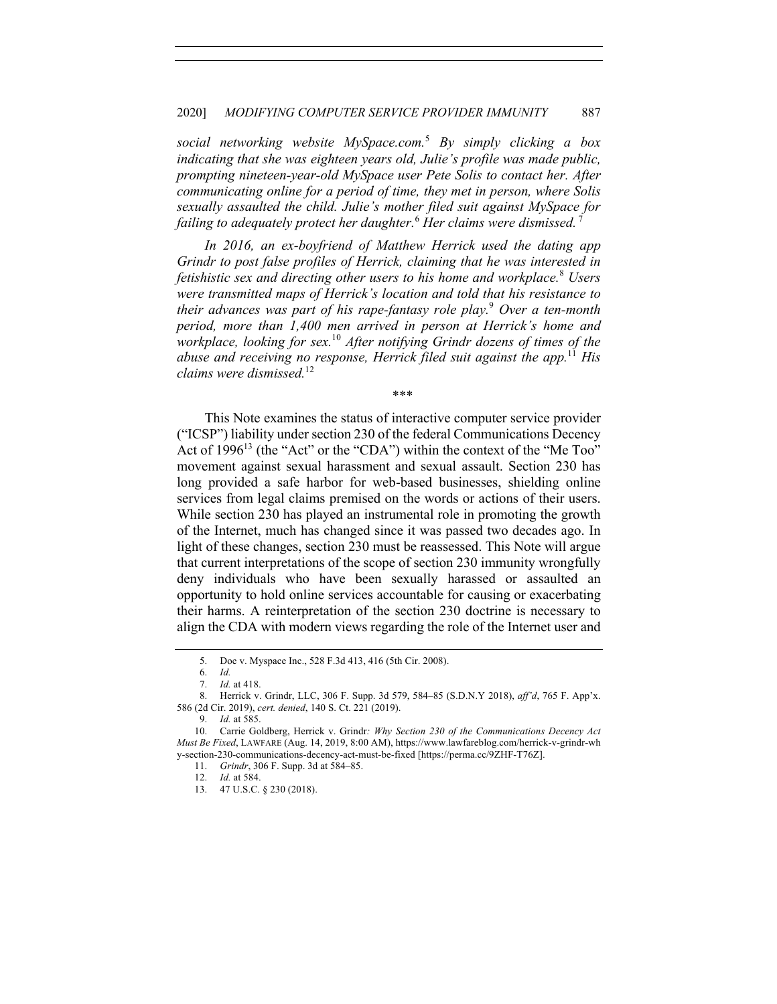#### 2020] *MODIFYING COMPUTER SERVICE PROVIDER IMMUNITY* 887

*social networking website MySpace.com.*<sup>5</sup> *By simply clicking a box indicating that she was eighteen years old, Julie's profile was made public, prompting nineteen-year-old MySpace user Pete Solis to contact her. After communicating online for a period of time, they met in person, where Solis sexually assaulted the child. Julie's mother filed suit against MySpace for failing to adequately protect her daughter.* <sup>6</sup> *Her claims were dismissed.* 7

*In 2016, an ex-boyfriend of Matthew Herrick used the dating app Grindr to post false profiles of Herrick, claiming that he was interested in fetishistic sex and directing other users to his home and workplace.*<sup>8</sup> *Users were transmitted maps of Herrick's location and told that his resistance to their advances was part of his rape-fantasy role play.*<sup>9</sup> *Over a ten-month period, more than 1,400 men arrived in person at Herrick's home and workplace, looking for sex.*<sup>10</sup> *After notifying Grindr dozens of times of the abuse and receiving no response, Herrick filed suit against the app.*<sup>11</sup> *His claims were dismissed.*<sup>12</sup>

\*\*\*

This Note examines the status of interactive computer service provider ("ICSP") liability under section 230 of the federal Communications Decency Act of  $1996^{13}$  (the "Act" or the "CDA") within the context of the "Me Too" movement against sexual harassment and sexual assault. Section 230 has long provided a safe harbor for web-based businesses, shielding online services from legal claims premised on the words or actions of their users. While section 230 has played an instrumental role in promoting the growth of the Internet, much has changed since it was passed two decades ago. In light of these changes, section 230 must be reassessed. This Note will argue that current interpretations of the scope of section 230 immunity wrongfully deny individuals who have been sexually harassed or assaulted an opportunity to hold online services accountable for causing or exacerbating their harms. A reinterpretation of the section 230 doctrine is necessary to align the CDA with modern views regarding the role of the Internet user and

9. *Id.* at 585.

<sup>5.</sup> Doe v. Myspace Inc., 528 F.3d 413, 416 (5th Cir. 2008).

<sup>6.</sup> *Id.*

<sup>7.</sup> *Id.* at 418.

<sup>8.</sup> Herrick v. Grindr, LLC, 306 F. Supp. 3d 579, 584–85 (S.D.N.Y 2018), *aff'd*, 765 F. App'x. 586 (2d Cir. 2019), *cert. denied*, 140 S. Ct. 221 (2019).

<sup>10.</sup> Carrie Goldberg, Herrick v. Grindr*: Why Section 230 of the Communications Decency Act Must Be Fixed*, LAWFARE (Aug. 14, 2019, 8:00 AM), https://www.lawfareblog.com/herrick-v-grindr-wh y-section-230-communications-decency-act-must-be-fixed [https://perma.cc/9ZHF-T76Z].

<sup>11.</sup> *Grindr*, 306 F. Supp. 3d at 584–85.

<sup>12.</sup> *Id.* at 584.

<sup>13.</sup> 47 U.S.C. § 230 (2018).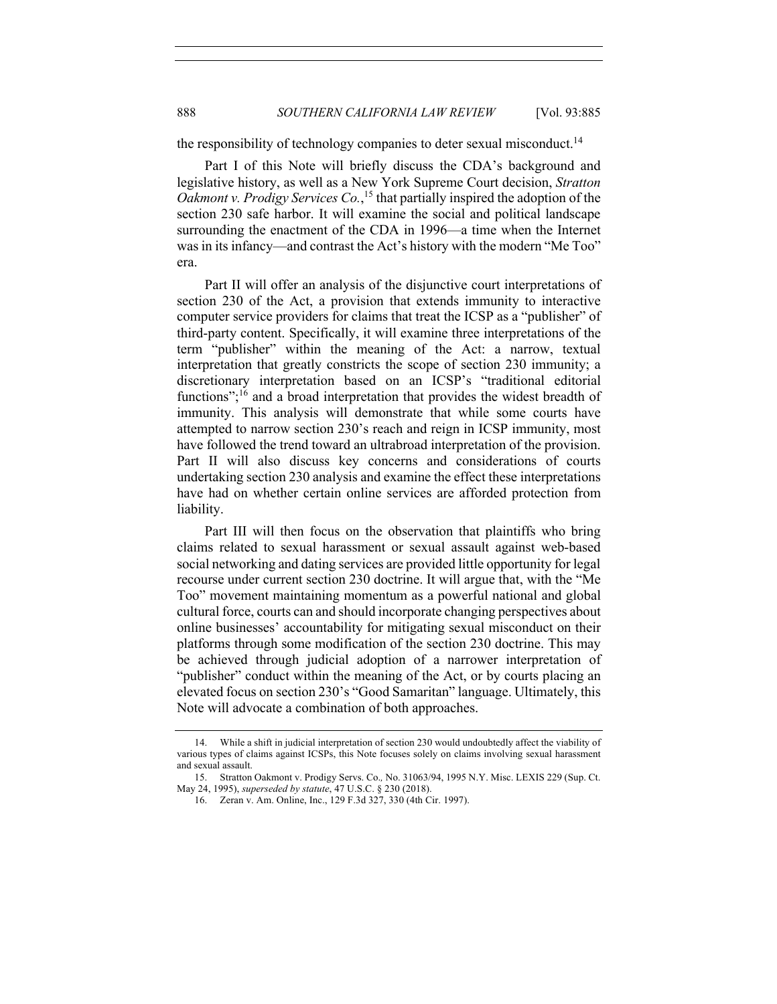the responsibility of technology companies to deter sexual misconduct.<sup>14</sup>

Part I of this Note will briefly discuss the CDA's background and legislative history, as well as a New York Supreme Court decision, *Stratton Oakmont v. Prodigy Services Co.*, <sup>15</sup> that partially inspired the adoption of the section 230 safe harbor. It will examine the social and political landscape surrounding the enactment of the CDA in 1996—a time when the Internet was in its infancy—and contrast the Act's history with the modern "Me Too" era.

Part II will offer an analysis of the disjunctive court interpretations of section 230 of the Act, a provision that extends immunity to interactive computer service providers for claims that treat the ICSP as a "publisher" of third-party content. Specifically, it will examine three interpretations of the term "publisher" within the meaning of the Act: a narrow, textual interpretation that greatly constricts the scope of section 230 immunity; a discretionary interpretation based on an ICSP's "traditional editorial functions"; $^{16}$  and a broad interpretation that provides the widest breadth of immunity. This analysis will demonstrate that while some courts have attempted to narrow section 230's reach and reign in ICSP immunity, most have followed the trend toward an ultrabroad interpretation of the provision. Part II will also discuss key concerns and considerations of courts undertaking section 230 analysis and examine the effect these interpretations have had on whether certain online services are afforded protection from liability.

Part III will then focus on the observation that plaintiffs who bring claims related to sexual harassment or sexual assault against web-based social networking and dating services are provided little opportunity for legal recourse under current section 230 doctrine. It will argue that, with the "Me Too" movement maintaining momentum as a powerful national and global cultural force, courts can and should incorporate changing perspectives about online businesses' accountability for mitigating sexual misconduct on their platforms through some modification of the section 230 doctrine. This may be achieved through judicial adoption of a narrower interpretation of "publisher" conduct within the meaning of the Act, or by courts placing an elevated focus on section 230's "Good Samaritan" language. Ultimately, this Note will advocate a combination of both approaches.

<sup>14.</sup> While a shift in judicial interpretation of section 230 would undoubtedly affect the viability of various types of claims against ICSPs, this Note focuses solely on claims involving sexual harassment and sexual assault.

<sup>15.</sup> Stratton Oakmont v. Prodigy Servs. Co.*,* No. 31063/94, 1995 N.Y. Misc. LEXIS 229 (Sup. Ct. May 24, 1995), *superseded by statute*, 47 U.S.C. § 230 (2018).

<sup>16.</sup> Zeran v. Am. Online, Inc., 129 F.3d 327, 330 (4th Cir. 1997).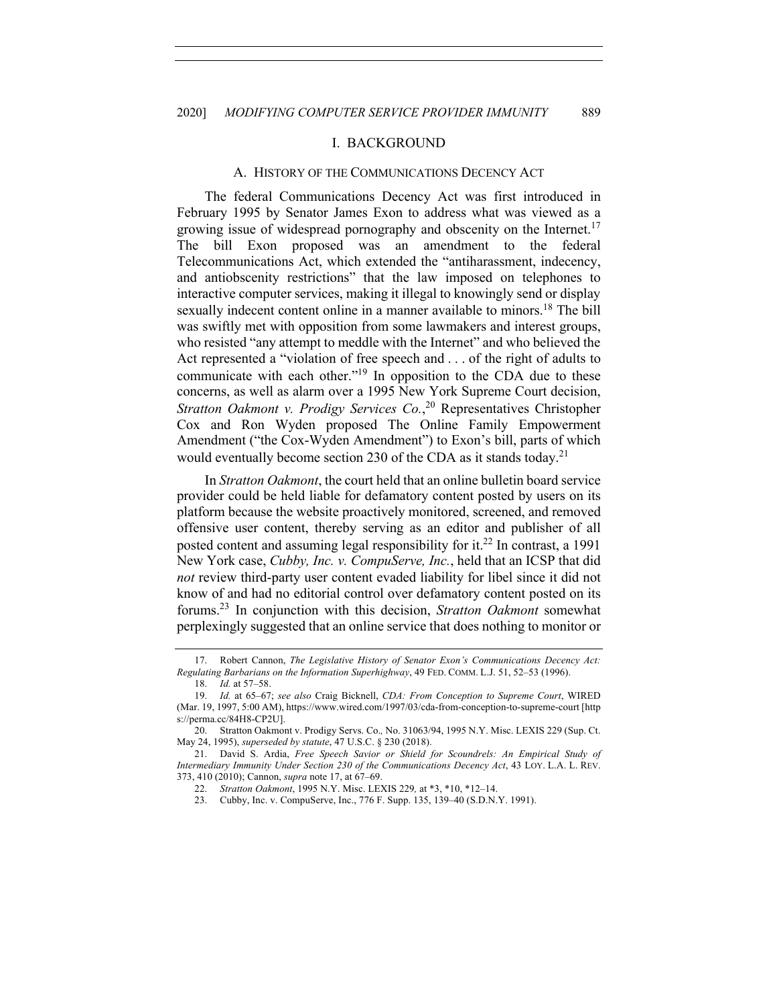#### I. BACKGROUND

#### A. HISTORY OF THE COMMUNICATIONS DECENCY ACT

The federal Communications Decency Act was first introduced in February 1995 by Senator James Exon to address what was viewed as a growing issue of widespread pornography and obscenity on the Internet.<sup>17</sup> The bill Exon proposed was an amendment to the federal Telecommunications Act, which extended the "antiharassment, indecency, and antiobscenity restrictions" that the law imposed on telephones to interactive computer services, making it illegal to knowingly send or display sexually indecent content online in a manner available to minors.<sup>18</sup> The bill was swiftly met with opposition from some lawmakers and interest groups, who resisted "any attempt to meddle with the Internet" and who believed the Act represented a "violation of free speech and . . . of the right of adults to communicate with each other."<sup>19</sup> In opposition to the CDA due to these concerns, as well as alarm over a 1995 New York Supreme Court decision, *Stratton Oakmont v. Prodigy Services Co.*, <sup>20</sup> Representatives Christopher Cox and Ron Wyden proposed The Online Family Empowerment Amendment ("the Cox-Wyden Amendment") to Exon's bill, parts of which would eventually become section 230 of the CDA as it stands today.<sup>21</sup>

In *Stratton Oakmont*, the court held that an online bulletin board service provider could be held liable for defamatory content posted by users on its platform because the website proactively monitored, screened, and removed offensive user content, thereby serving as an editor and publisher of all posted content and assuming legal responsibility for it.22 In contrast, a 1991 New York case, *Cubby, Inc. v. CompuServe, Inc.*, held that an ICSP that did *not* review third-party user content evaded liability for libel since it did not know of and had no editorial control over defamatory content posted on its forums. <sup>23</sup> In conjunction with this decision, *Stratton Oakmont* somewhat perplexingly suggested that an online service that does nothing to monitor or

<sup>17.</sup> Robert Cannon, *The Legislative History of Senator Exon's Communications Decency Act: Regulating Barbarians on the Information Superhighway*, 49 FED. COMM. L.J. 51, 52–53 (1996).

<sup>18.</sup> *Id.* at 57–58.

<sup>19.</sup> *Id.* at 65–67; *see also* Craig Bicknell, *CDA: From Conception to Supreme Court*, WIRED (Mar. 19, 1997, 5:00 AM), https://www.wired.com/1997/03/cda-from-conception-to-supreme-court [http s://perma.cc/84H8-CP2U].

<sup>20.</sup> Stratton Oakmont v. Prodigy Servs. Co.*,* No. 31063/94, 1995 N.Y. Misc. LEXIS 229 (Sup. Ct. May 24, 1995), *superseded by statute*, 47 U.S.C. § 230 (2018).

<sup>21.</sup> David S. Ardia, *Free Speech Savior or Shield for Scoundrels: An Empirical Study of Intermediary Immunity Under Section 230 of the Communications Decency Act*, 43 LOY. L.A. L. REV. 373, 410 (2010); Cannon, *supra* note 17, at 67–69.

<sup>22.</sup> *Stratton Oakmont*, 1995 N.Y. Misc. LEXIS 229*,* at \*3, \*10, \*12–14.

<sup>23.</sup> Cubby, Inc. v. CompuServe, Inc., 776 F. Supp. 135, 139–40 (S.D.N.Y. 1991).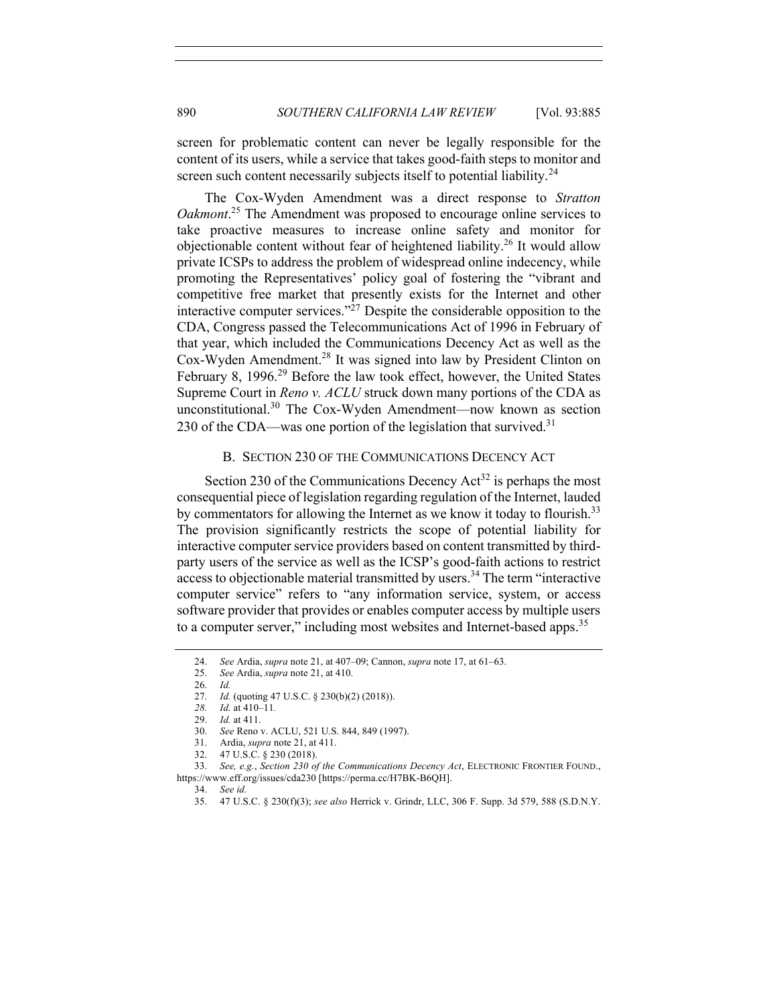screen for problematic content can never be legally responsible for the content of its users, while a service that takes good-faith steps to monitor and screen such content necessarily subjects itself to potential liability.<sup>24</sup>

The Cox-Wyden Amendment was a direct response to *Stratton*  Oakmont.<sup>25</sup> The Amendment was proposed to encourage online services to take proactive measures to increase online safety and monitor for objectionable content without fear of heightened liability.26 It would allow private ICSPs to address the problem of widespread online indecency, while promoting the Representatives' policy goal of fostering the "vibrant and competitive free market that presently exists for the Internet and other interactive computer services."27 Despite the considerable opposition to the CDA, Congress passed the Telecommunications Act of 1996 in February of that year, which included the Communications Decency Act as well as the Cox-Wyden Amendment.<sup>28</sup> It was signed into law by President Clinton on February 8, 1996.<sup>29</sup> Before the law took effect, however, the United States Supreme Court in *Reno v. ACLU* struck down many portions of the CDA as unconstitutional.<sup>30</sup> The Cox-Wyden Amendment—now known as section 230 of the CDA—was one portion of the legislation that survived.<sup>31</sup>

# B. SECTION 230 OF THE COMMUNICATIONS DECENCY ACT

Section 230 of the Communications Decency  $Act^{32}$  is perhaps the most consequential piece of legislation regarding regulation of the Internet, lauded by commentators for allowing the Internet as we know it today to flourish.<sup>33</sup> The provision significantly restricts the scope of potential liability for interactive computer service providers based on content transmitted by thirdparty users of the service as well as the ICSP's good-faith actions to restrict access to objectionable material transmitted by users.<sup>34</sup> The term "interactive" computer service" refers to "any information service, system, or access software provider that provides or enables computer access by multiple users to a computer server," including most websites and Internet-based apps.<sup>35</sup>

<sup>24.</sup> *See* Ardia, *supra* note 21, at 407–09; Cannon, *supra* note 17, at 61–63.

<sup>25.</sup> *See* Ardia, *supra* note 21, at 410.

<sup>26.</sup> *Id.*

<sup>27.</sup> *Id.* (quoting 47 U.S.C. § 230(b)(2) (2018)).

*<sup>28.</sup> Id.* at 410–11*.*

<sup>29.</sup> *Id.* at 411.

<sup>30.</sup> *See* Reno v. ACLU, 521 U.S. 844, 849 (1997).

<sup>31.</sup> Ardia, *supra* note 21, at 411.

<sup>32.</sup> 47 U.S.C. § 230 (2018).

<sup>33.</sup> *See, e.g.*, *Section 230 of the Communications Decency Act*, ELECTRONIC FRONTIER FOUND.,

https://www.eff.org/issues/cda230 [https://perma.cc/H7BK-B6QH].

<sup>34.</sup> *See id.*

<sup>35.</sup> 47 U.S.C. § 230(f)(3); *see also* Herrick v. Grindr, LLC, 306 F. Supp. 3d 579, 588 (S.D.N.Y.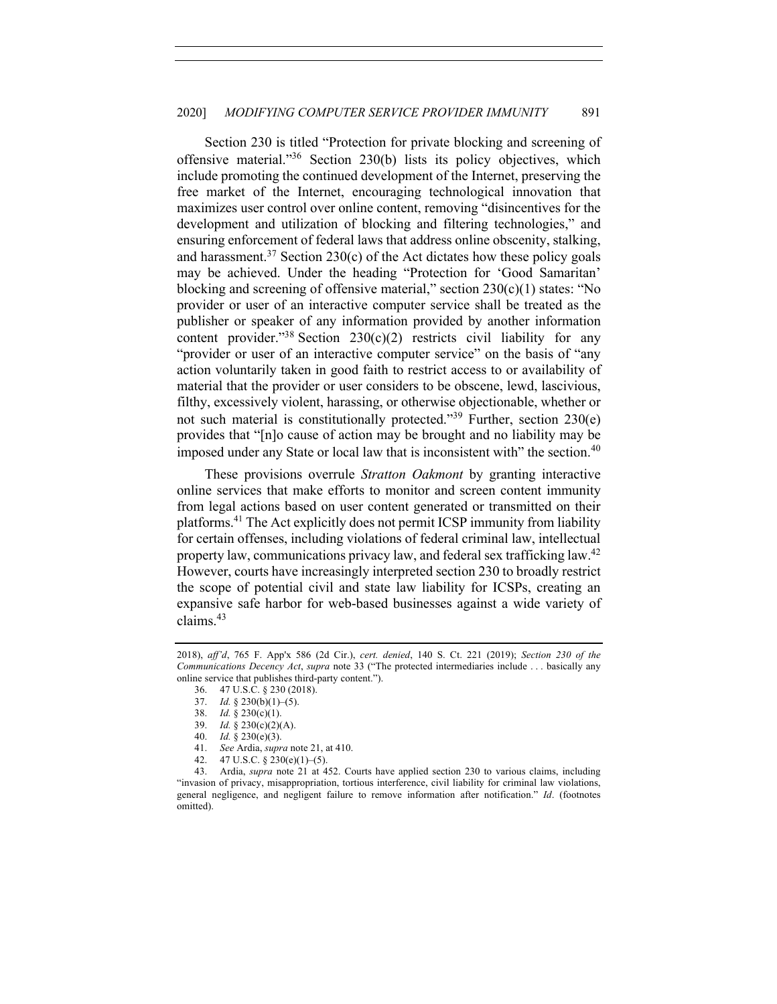Section 230 is titled "Protection for private blocking and screening of offensive material."36 Section 230(b) lists its policy objectives, which include promoting the continued development of the Internet, preserving the free market of the Internet, encouraging technological innovation that maximizes user control over online content, removing "disincentives for the development and utilization of blocking and filtering technologies," and ensuring enforcement of federal laws that address online obscenity, stalking, and harassment.<sup>37</sup> Section 230(c) of the Act dictates how these policy goals may be achieved. Under the heading "Protection for 'Good Samaritan' blocking and screening of offensive material," section  $230(c)(1)$  states: "No provider or user of an interactive computer service shall be treated as the publisher or speaker of any information provided by another information content provider."<sup>38</sup> Section 230(c)(2) restricts civil liability for any "provider or user of an interactive computer service" on the basis of "any action voluntarily taken in good faith to restrict access to or availability of material that the provider or user considers to be obscene, lewd, lascivious, filthy, excessively violent, harassing, or otherwise objectionable, whether or not such material is constitutionally protected."39 Further, section 230(e) provides that "[n]o cause of action may be brought and no liability may be imposed under any State or local law that is inconsistent with" the section.<sup>40</sup>

These provisions overrule *Stratton Oakmont* by granting interactive online services that make efforts to monitor and screen content immunity from legal actions based on user content generated or transmitted on their platforms.41 The Act explicitly does not permit ICSP immunity from liability for certain offenses, including violations of federal criminal law, intellectual property law, communications privacy law, and federal sex trafficking law.<sup>42</sup> However, courts have increasingly interpreted section 230 to broadly restrict the scope of potential civil and state law liability for ICSPs, creating an expansive safe harbor for web-based businesses against a wide variety of claims. 43

<sup>2018),</sup> *aff'd*, 765 F. App'x 586 (2d Cir.), *cert. denied*, 140 S. Ct. 221 (2019); *Section 230 of the Communications Decency Act*, *supra* note 33 ("The protected intermediaries include . . . basically any online service that publishes third-party content.").

<sup>36.</sup> 47 U.S.C. § 230 (2018).

<sup>37.</sup> *Id.* § 230(b)(1)–(5).

<sup>38.</sup> *Id.* § 230(c)(1).

<sup>39.</sup> *Id.* § 230(c)(2)(A).

<sup>40.</sup> *Id.* § 230(e)(3).

<sup>41.</sup> *See* Ardia, *supra* note 21, at 410.

<sup>42.</sup> 47 U.S.C. § 230(e)(1)–(5).

<sup>43.</sup> Ardia, *supra* note 21 at 452. Courts have applied section 230 to various claims, including "invasion of privacy, misappropriation, tortious interference, civil liability for criminal law violations, general negligence, and negligent failure to remove information after notification." *Id*. (footnotes omitted).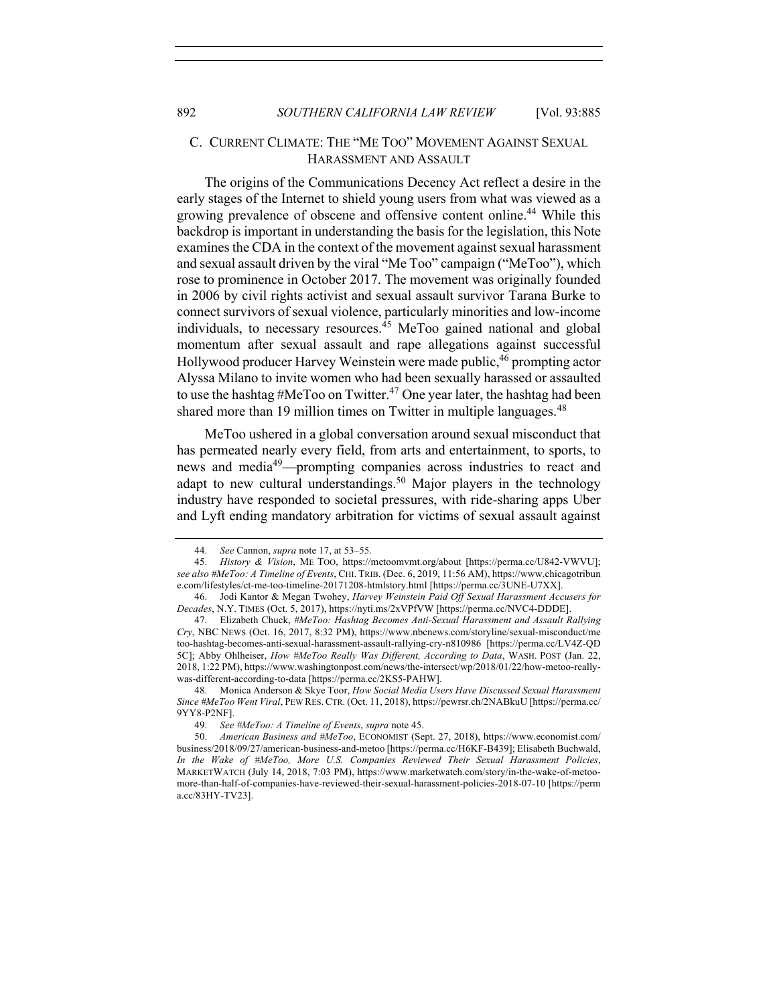# C. CURRENT CLIMATE: THE "ME TOO" MOVEMENT AGAINST SEXUAL HARASSMENT AND ASSAULT

The origins of the Communications Decency Act reflect a desire in the early stages of the Internet to shield young users from what was viewed as a growing prevalence of obscene and offensive content online.<sup>44</sup> While this backdrop is important in understanding the basis for the legislation, this Note examines the CDA in the context of the movement against sexual harassment and sexual assault driven by the viral "Me Too" campaign ("MeToo"), which rose to prominence in October 2017. The movement was originally founded in 2006 by civil rights activist and sexual assault survivor Tarana Burke to connect survivors of sexual violence, particularly minorities and low-income individuals, to necessary resources. $45$  MeToo gained national and global momentum after sexual assault and rape allegations against successful Hollywood producer Harvey Weinstein were made public,<sup>46</sup> prompting actor Alyssa Milano to invite women who had been sexually harassed or assaulted to use the hashtag #MeToo on Twitter.<sup>47</sup> One year later, the hashtag had been shared more than 19 million times on Twitter in multiple languages.<sup>48</sup>

MeToo ushered in a global conversation around sexual misconduct that has permeated nearly every field, from arts and entertainment, to sports, to news and media49—prompting companies across industries to react and adapt to new cultural understandings.<sup>50</sup> Major players in the technology industry have responded to societal pressures, with ride-sharing apps Uber and Lyft ending mandatory arbitration for victims of sexual assault against

<sup>44.</sup> *See* Cannon, *supra* note 17, at 53–55.

<sup>45.</sup> *History & Vision*, ME TOO, https://metoomvmt.org/about [https://perma.cc/U842-VWVU]; *see also #MeToo: A Timeline of Events*, CHI. TRIB. (Dec. 6, 2019, 11:56 AM), https://www.chicagotribun e.com/lifestyles/ct-me-too-timeline-20171208-htmlstory.html [https://perma.cc/3UNE-U7XX].

<sup>46.</sup> Jodi Kantor & Megan Twohey, *Harvey Weinstein Paid Off Sexual Harassment Accusers for Decades*, N.Y. TIMES (Oct. 5, 2017), https://nyti.ms/2xVPfVW [https://perma.cc/NVC4-DDDE].

<sup>47.</sup> Elizabeth Chuck, *#MeToo: Hashtag Becomes Anti-Sexual Harassment and Assault Rallying Cry*, NBC NEWS (Oct. 16, 2017, 8:32 PM), https://www.nbcnews.com/storyline/sexual-misconduct/me too-hashtag-becomes-anti-sexual-harassment-assault-rallying-cry-n810986 [https://perma.cc/LV4Z-QD 5C]; Abby Ohlheiser, *How #MeToo Really Was Different, According to Data*, WASH. POST (Jan. 22, 2018, 1:22 PM), https://www.washingtonpost.com/news/the-intersect/wp/2018/01/22/how-metoo-reallywas-different-according-to-data [https://perma.cc/2KS5-PAHW].

<sup>48.</sup> Monica Anderson & Skye Toor, *How Social Media Users Have Discussed Sexual Harassment Since #MeToo Went Viral*, PEW RES.CTR. (Oct. 11, 2018), https://pewrsr.ch/2NABkuU [https://perma.cc/ 9YY8-P2NF].

<sup>49.</sup> *See #MeToo: A Timeline of Events*, *supra* note 45.

<sup>50.</sup> *American Business and #MeToo*, ECONOMIST (Sept. 27, 2018), https://www.economist.com/ business/2018/09/27/american-business-and-metoo [https://perma.cc/H6KF-B439]; Elisabeth Buchwald, *In the Wake of #MeToo, More U.S. Companies Reviewed Their Sexual Harassment Policies*, MARKETWATCH (July 14, 2018, 7:03 PM), https://www.marketwatch.com/story/in-the-wake-of-metoomore-than-half-of-companies-have-reviewed-their-sexual-harassment-policies-2018-07-10 [https://perm a.cc/83HY-TV23].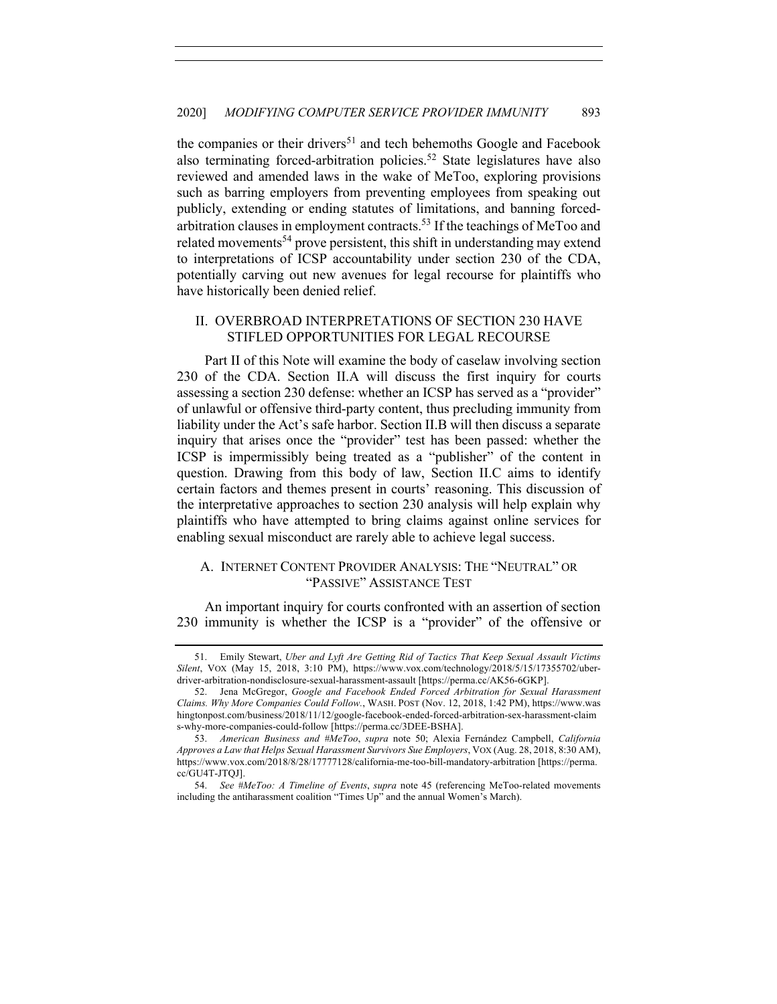the companies or their drivers<sup>51</sup> and tech behemoths Google and Facebook also terminating forced-arbitration policies.<sup>52</sup> State legislatures have also reviewed and amended laws in the wake of MeToo, exploring provisions such as barring employers from preventing employees from speaking out publicly, extending or ending statutes of limitations, and banning forcedarbitration clauses in employment contracts.53 If the teachings of MeToo and related movements<sup>54</sup> prove persistent, this shift in understanding may extend to interpretations of ICSP accountability under section 230 of the CDA, potentially carving out new avenues for legal recourse for plaintiffs who have historically been denied relief.

# II. OVERBROAD INTERPRETATIONS OF SECTION 230 HAVE STIFLED OPPORTUNITIES FOR LEGAL RECOURSE

Part II of this Note will examine the body of caselaw involving section 230 of the CDA. Section II.A will discuss the first inquiry for courts assessing a section 230 defense: whether an ICSP has served as a "provider" of unlawful or offensive third-party content, thus precluding immunity from liability under the Act's safe harbor. Section II.B will then discuss a separate inquiry that arises once the "provider" test has been passed: whether the ICSP is impermissibly being treated as a "publisher" of the content in question. Drawing from this body of law, Section II.C aims to identify certain factors and themes present in courts' reasoning. This discussion of the interpretative approaches to section 230 analysis will help explain why plaintiffs who have attempted to bring claims against online services for enabling sexual misconduct are rarely able to achieve legal success.

# A. INTERNET CONTENT PROVIDER ANALYSIS: THE "NEUTRAL" OR "PASSIVE" ASSISTANCE TEST

An important inquiry for courts confronted with an assertion of section 230 immunity is whether the ICSP is a "provider" of the offensive or

<sup>51.</sup> Emily Stewart, *Uber and Lyft Are Getting Rid of Tactics That Keep Sexual Assault Victims Silent*, VOX (May 15, 2018, 3:10 PM), https://www.vox.com/technology/2018/5/15/17355702/uberdriver-arbitration-nondisclosure-sexual-harassment-assault [https://perma.cc/AK56-6GKP].

<sup>52.</sup> Jena McGregor, *Google and Facebook Ended Forced Arbitration for Sexual Harassment Claims. Why More Companies Could Follow.*, WASH. POST (Nov. 12, 2018, 1:42 PM), https://www.was hingtonpost.com/business/2018/11/12/google-facebook-ended-forced-arbitration-sex-harassment-claim s-why-more-companies-could-follow [https://perma.cc/3DEE-BSHA].

<sup>53.</sup> *American Business and #MeToo*, *supra* note 50; Alexia Fernández Campbell, *California Approves a Law that Helps Sexual Harassment Survivors Sue Employers*, VOX (Aug. 28, 2018, 8:30 AM), https://www.vox.com/2018/8/28/17777128/california-me-too-bill-mandatory-arbitration [https://perma. cc/GU4T-JTQJ].

<sup>54.</sup> *See #MeToo: A Timeline of Events*, *supra* note 45 (referencing MeToo-related movements including the antiharassment coalition "Times Up" and the annual Women's March).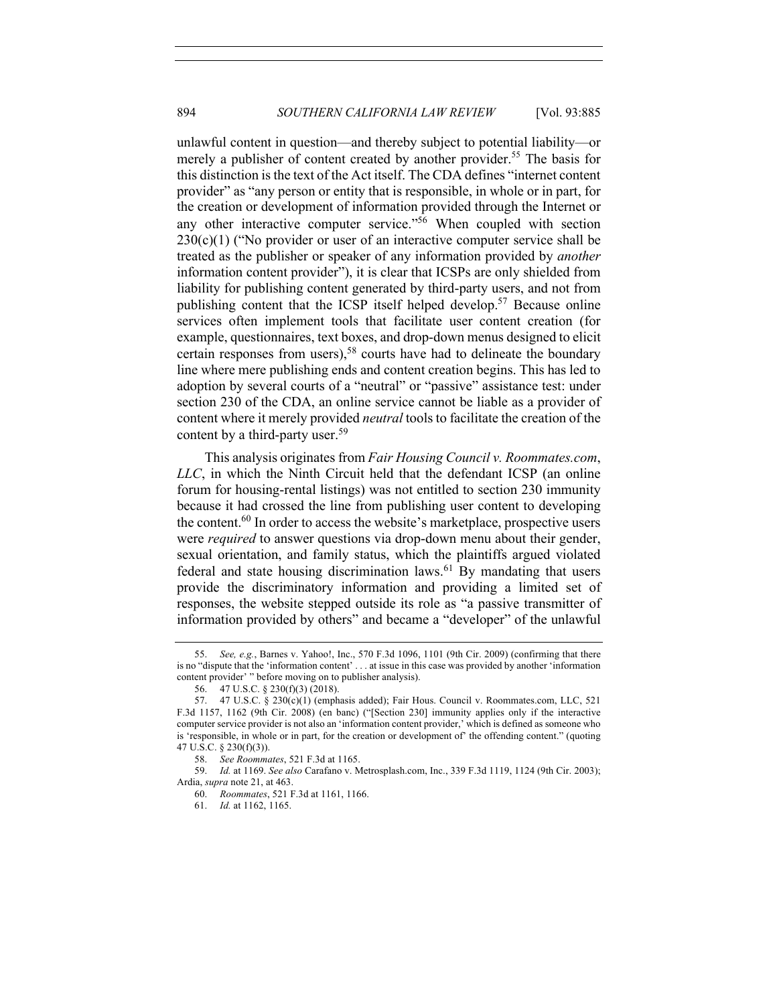unlawful content in question—and thereby subject to potential liability—or merely a publisher of content created by another provider.<sup>55</sup> The basis for this distinction is the text of the Act itself. The CDA defines "internet content provider" as "any person or entity that is responsible, in whole or in part, for the creation or development of information provided through the Internet or any other interactive computer service."<sup>56</sup> When coupled with section  $230(c)(1)$  ("No provider or user of an interactive computer service shall be treated as the publisher or speaker of any information provided by *another* information content provider"), it is clear that ICSPs are only shielded from liability for publishing content generated by third-party users, and not from publishing content that the ICSP itself helped develop.57 Because online services often implement tools that facilitate user content creation (for example, questionnaires, text boxes, and drop-down menus designed to elicit certain responses from users),<sup>58</sup> courts have had to delineate the boundary line where mere publishing ends and content creation begins. This has led to adoption by several courts of a "neutral" or "passive" assistance test: under section 230 of the CDA, an online service cannot be liable as a provider of content where it merely provided *neutral* tools to facilitate the creation of the content by a third-party user.<sup>59</sup>

This analysis originates from *Fair Housing Council v. Roommates.com*, *LLC*, in which the Ninth Circuit held that the defendant ICSP (an online forum for housing-rental listings) was not entitled to section 230 immunity because it had crossed the line from publishing user content to developing the content.<sup>60</sup> In order to access the website's marketplace, prospective users were *required* to answer questions via drop-down menu about their gender, sexual orientation, and family status, which the plaintiffs argued violated federal and state housing discrimination laws.<sup>61</sup> By mandating that users provide the discriminatory information and providing a limited set of responses, the website stepped outside its role as "a passive transmitter of information provided by others" and became a "developer" of the unlawful

<sup>55.</sup> *See, e.g.*, Barnes v. Yahoo!, Inc., 570 F.3d 1096, 1101 (9th Cir. 2009) (confirming that there is no "dispute that the 'information content' . . . at issue in this case was provided by another 'information content provider' " before moving on to publisher analysis).

<sup>56.</sup> 47 U.S.C. § 230(f)(3) (2018).

<sup>57.</sup> 47 U.S.C. § 230(c)(1) (emphasis added); Fair Hous. Council v. Roommates.com, LLC, 521 F.3d 1157, 1162 (9th Cir. 2008) (en banc) ("[Section 230] immunity applies only if the interactive computer service provider is not also an 'information content provider,' which is defined as someone who is 'responsible, in whole or in part, for the creation or development of' the offending content." (quoting 47 U.S.C. § 230(f)(3)).

<sup>58.</sup> *See Roommates*, 521 F.3d at 1165.

<sup>59.</sup> *Id.* at 1169. *See also* Carafano v. Metrosplash.com, Inc., 339 F.3d 1119, 1124 (9th Cir. 2003); Ardia, *supra* note 21, at 463.

<sup>60.</sup> *Roommates*, 521 F.3d at 1161, 1166.

<sup>61.</sup> *Id.* at 1162, 1165.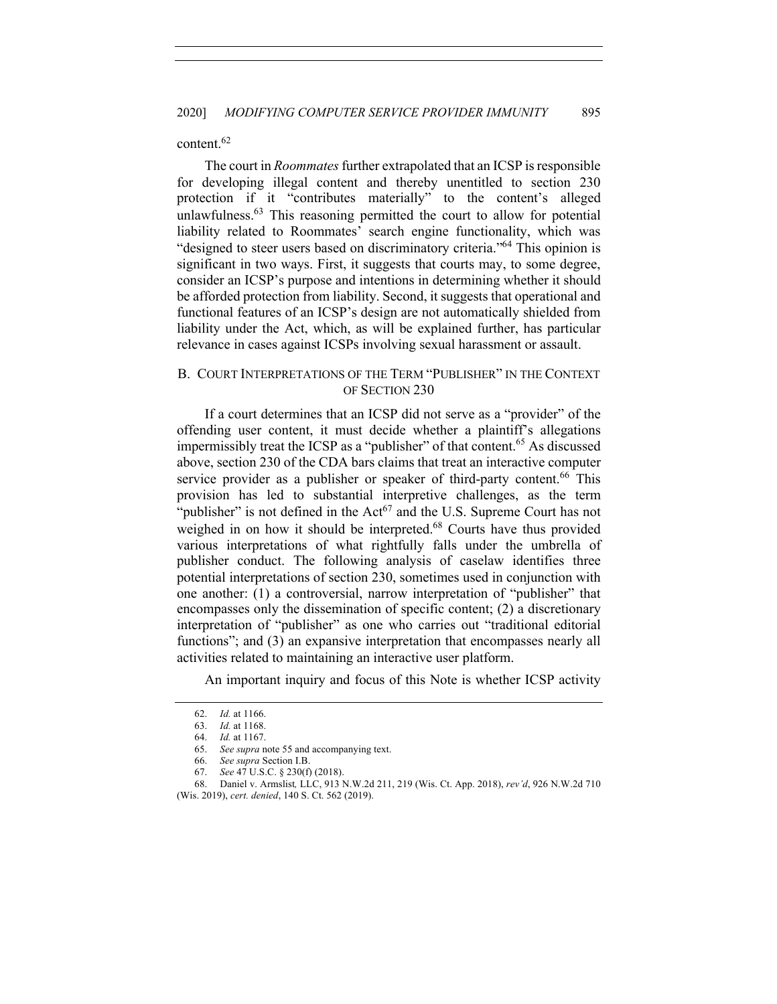## content.<sup>62</sup>

The court in *Roommates* further extrapolated that an ICSP is responsible for developing illegal content and thereby unentitled to section 230 protection if it "contributes materially" to the content's alleged unlawfulness. $63$  This reasoning permitted the court to allow for potential liability related to Roommates' search engine functionality, which was "designed to steer users based on discriminatory criteria."64 This opinion is significant in two ways. First, it suggests that courts may, to some degree, consider an ICSP's purpose and intentions in determining whether it should be afforded protection from liability. Second, it suggests that operational and functional features of an ICSP's design are not automatically shielded from liability under the Act, which, as will be explained further, has particular relevance in cases against ICSPs involving sexual harassment or assault.

## B. COURT INTERPRETATIONS OF THE TERM "PUBLISHER" IN THE CONTEXT OF SECTION 230

If a court determines that an ICSP did not serve as a "provider" of the offending user content, it must decide whether a plaintiff's allegations impermissibly treat the ICSP as a "publisher" of that content.<sup>65</sup> As discussed above, section 230 of the CDA bars claims that treat an interactive computer service provider as a publisher or speaker of third-party content.<sup>66</sup> This provision has led to substantial interpretive challenges, as the term "publisher" is not defined in the  $Act^{67}$  and the U.S. Supreme Court has not weighed in on how it should be interpreted.<sup>68</sup> Courts have thus provided various interpretations of what rightfully falls under the umbrella of publisher conduct. The following analysis of caselaw identifies three potential interpretations of section 230, sometimes used in conjunction with one another: (1) a controversial, narrow interpretation of "publisher" that encompasses only the dissemination of specific content; (2) a discretionary interpretation of "publisher" as one who carries out "traditional editorial functions"; and (3) an expansive interpretation that encompasses nearly all activities related to maintaining an interactive user platform.

An important inquiry and focus of this Note is whether ICSP activity

<sup>62.</sup> *Id.* at 1166.

<sup>63.</sup> *Id.* at 1168.

<sup>64.</sup> *Id.* at 1167.

<sup>65.</sup> *See supra* note 55 and accompanying text.

<sup>66.</sup> *See supra* Section I.B.

<sup>67.</sup> *See* 47 U.S.C. § 230(f) (2018).

<sup>68.</sup> Daniel v. Armslist*,* LLC, 913 N.W.2d 211, 219 (Wis. Ct. App. 2018), *rev'd*, 926 N.W.2d 710 (Wis. 2019), *cert. denied*, 140 S. Ct. 562 (2019).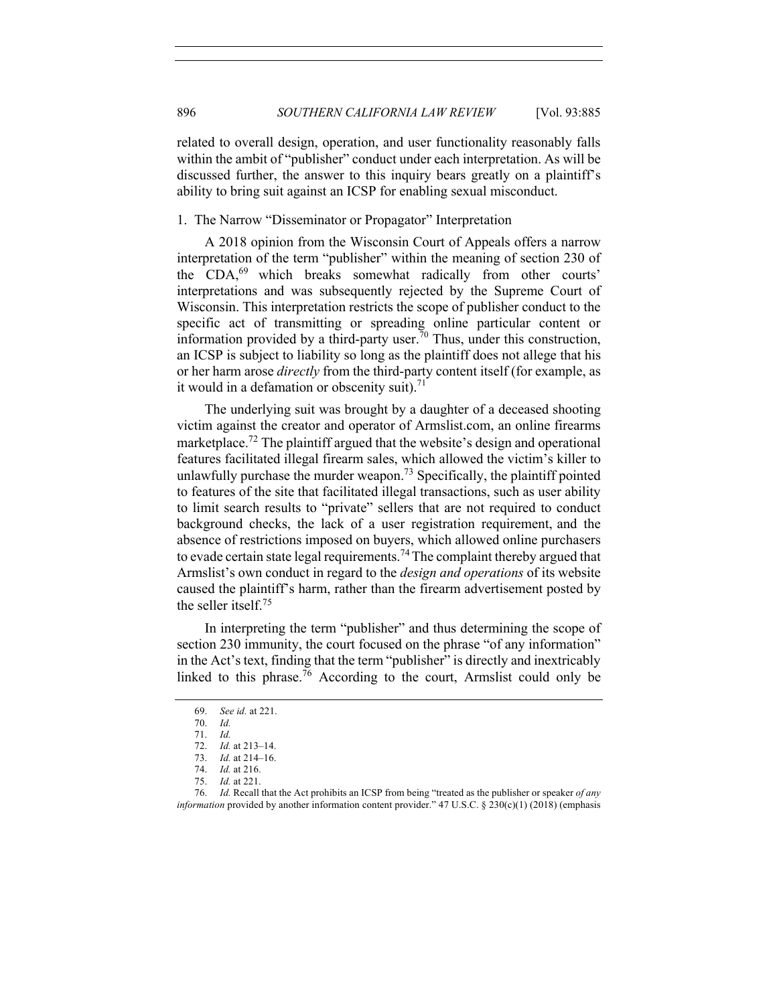related to overall design, operation, and user functionality reasonably falls within the ambit of "publisher" conduct under each interpretation. As will be discussed further, the answer to this inquiry bears greatly on a plaintiff's ability to bring suit against an ICSP for enabling sexual misconduct.

#### 1. The Narrow "Disseminator or Propagator" Interpretation

A 2018 opinion from the Wisconsin Court of Appeals offers a narrow interpretation of the term "publisher" within the meaning of section 230 of the CDA,<sup>69</sup> which breaks somewhat radically from other courts' interpretations and was subsequently rejected by the Supreme Court of Wisconsin. This interpretation restricts the scope of publisher conduct to the specific act of transmitting or spreading online particular content or information provided by a third-party user.<sup>70</sup> Thus, under this construction, an ICSP is subject to liability so long as the plaintiff does not allege that his or her harm arose *directly* from the third-party content itself (for example, as it would in a defamation or obscenity suit). $71$ 

The underlying suit was brought by a daughter of a deceased shooting victim against the creator and operator of Armslist.com, an online firearms marketplace.<sup>72</sup> The plaintiff argued that the website's design and operational features facilitated illegal firearm sales, which allowed the victim's killer to unlawfully purchase the murder weapon.<sup>73</sup> Specifically, the plaintiff pointed to features of the site that facilitated illegal transactions, such as user ability to limit search results to "private" sellers that are not required to conduct background checks, the lack of a user registration requirement, and the absence of restrictions imposed on buyers, which allowed online purchasers to evade certain state legal requirements.<sup>74</sup> The complaint thereby argued that Armslist's own conduct in regard to the *design and operations* of its website caused the plaintiff's harm, rather than the firearm advertisement posted by the seller itself.75

In interpreting the term "publisher" and thus determining the scope of section 230 immunity, the court focused on the phrase "of any information" in the Act's text, finding that the term "publisher" is directly and inextricably linked to this phrase.<sup>76</sup> According to the court, Armslist could only be

<sup>69.</sup> *See id.* at 221.

<sup>70.</sup> *Id.*

<sup>71.</sup> *Id.*

<sup>72.</sup> *Id.* at 213–14.

<sup>73.</sup> *Id.* at 214–16.

<sup>74.</sup> *Id.* at 216.

<sup>75.</sup> *Id.* at 221.

<sup>76.</sup> *Id.* Recall that the Act prohibits an ICSP from being "treated as the publisher or speaker *of any information* provided by another information content provider." 47 U.S.C. § 230(c)(1) (2018) (emphasis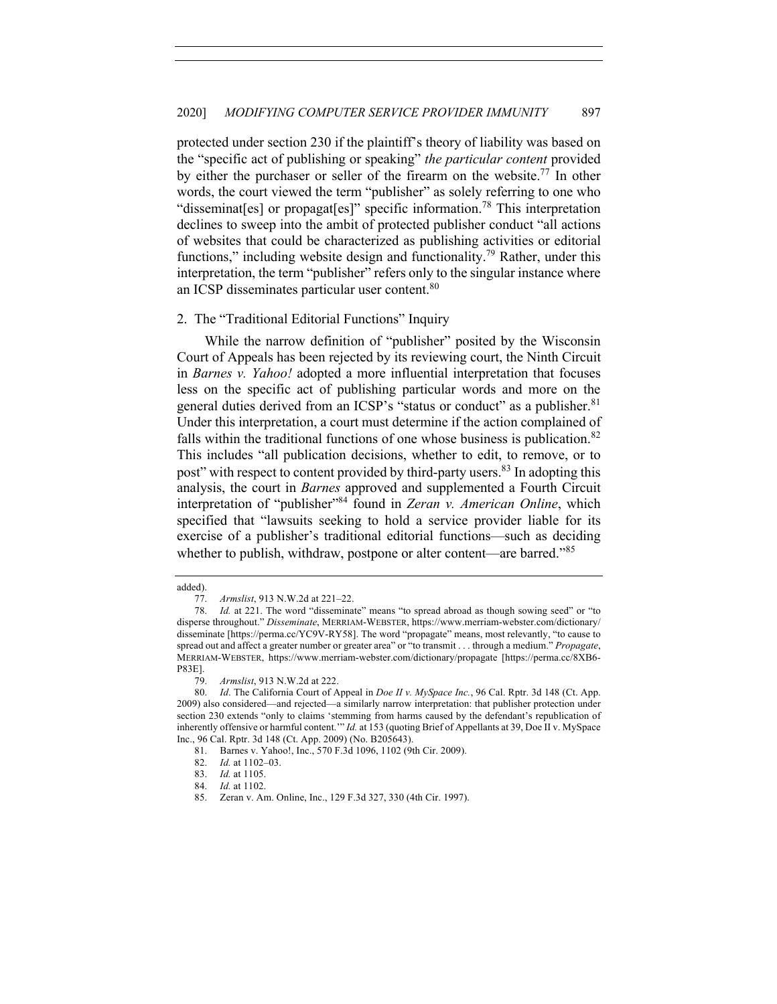protected under section 230 if the plaintiff's theory of liability was based on the "specific act of publishing or speaking" *the particular content* provided by either the purchaser or seller of the firearm on the website.<sup>77</sup> In other words, the court viewed the term "publisher" as solely referring to one who "disseminat[es] or propagat[es]" specific information.<sup>78</sup> This interpretation declines to sweep into the ambit of protected publisher conduct "all actions of websites that could be characterized as publishing activities or editorial functions," including website design and functionality.<sup>79</sup> Rather, under this interpretation, the term "publisher" refers only to the singular instance where an ICSP disseminates particular user content.80

#### 2. The "Traditional Editorial Functions" Inquiry

While the narrow definition of "publisher" posited by the Wisconsin Court of Appeals has been rejected by its reviewing court, the Ninth Circuit in *Barnes v. Yahoo!* adopted a more influential interpretation that focuses less on the specific act of publishing particular words and more on the general duties derived from an ICSP's "status or conduct" as a publisher.<sup>81</sup> Under this interpretation, a court must determine if the action complained of falls within the traditional functions of one whose business is publication.<sup>82</sup> This includes "all publication decisions, whether to edit, to remove, or to post" with respect to content provided by third-party users.<sup>83</sup> In adopting this analysis, the court in *Barnes* approved and supplemented a Fourth Circuit interpretation of "publisher"<sup>84</sup> found in *Zeran v. American Online*, which specified that "lawsuits seeking to hold a service provider liable for its exercise of a publisher's traditional editorial functions—such as deciding whether to publish, withdraw, postpone or alter content—are barred."<sup>85</sup>

added).

<sup>77.</sup> *Armslist*, 913 N.W.2d at 221–22.

<sup>78.</sup> *Id.* at 221. The word "disseminate" means "to spread abroad as though sowing seed" or "to disperse throughout." *Disseminate*, MERRIAM-WEBSTER, https://www.merriam-webster.com/dictionary/ disseminate [https://perma.cc/YC9V-RY58]. The word "propagate" means, most relevantly, "to cause to spread out and affect a greater number or greater area" or "to transmit . . . through a medium." *Propagate*, MERRIAM-WEBSTER, https://www.merriam-webster.com/dictionary/propagate [https://perma.cc/8XB6- P83E].

<sup>79.</sup> *Armslist*, 913 N.W.2d at 222.

<sup>80.</sup> *Id*. The California Court of Appeal in *Doe II v. MySpace Inc.*, 96 Cal. Rptr. 3d 148 (Ct. App. 2009) also considered—and rejected—a similarly narrow interpretation: that publisher protection under section 230 extends "only to claims 'stemming from harms caused by the defendant's republication of inherently offensive or harmful content.'" *Id.* at 153 (quoting Brief of Appellants at 39, Doe II v. MySpace Inc., 96 Cal. Rptr. 3d 148 (Ct. App. 2009) (No. B205643).

<sup>81.</sup> Barnes v. Yahoo!, Inc., 570 F.3d 1096, 1102 (9th Cir. 2009).

<sup>82.</sup> *Id.* at 1102–03.

<sup>83.</sup> *Id.* at 1105.

<sup>84.</sup> *Id.* at 1102.

<sup>85.</sup> Zeran v. Am. Online, Inc., 129 F.3d 327, 330 (4th Cir. 1997).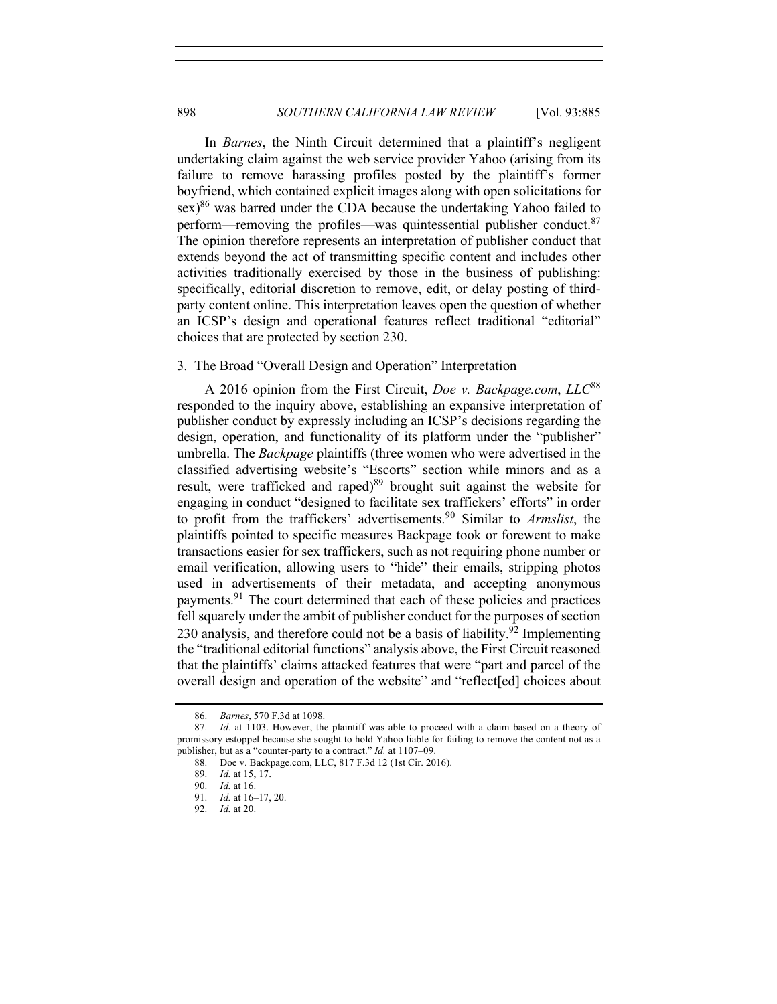In *Barnes*, the Ninth Circuit determined that a plaintiff's negligent undertaking claim against the web service provider Yahoo (arising from its failure to remove harassing profiles posted by the plaintiff's former boyfriend, which contained explicit images along with open solicitations for  $\text{sex}$ <sup>86</sup> was barred under the CDA because the undertaking Yahoo failed to perform—removing the profiles—was quintessential publisher conduct. $87$ The opinion therefore represents an interpretation of publisher conduct that extends beyond the act of transmitting specific content and includes other activities traditionally exercised by those in the business of publishing: specifically, editorial discretion to remove, edit, or delay posting of thirdparty content online. This interpretation leaves open the question of whether an ICSP's design and operational features reflect traditional "editorial" choices that are protected by section 230.

#### 3. The Broad "Overall Design and Operation" Interpretation

A 2016 opinion from the First Circuit, *Doe v. Backpage.com*, *LLC*<sup>88</sup> responded to the inquiry above, establishing an expansive interpretation of publisher conduct by expressly including an ICSP's decisions regarding the design, operation, and functionality of its platform under the "publisher" umbrella. The *Backpage* plaintiffs (three women who were advertised in the classified advertising website's "Escorts" section while minors and as a result, were trafficked and raped)<sup>89</sup> brought suit against the website for engaging in conduct "designed to facilitate sex traffickers' efforts" in order to profit from the traffickers' advertisements.<sup>90</sup> Similar to *Armslist*, the plaintiffs pointed to specific measures Backpage took or forewent to make transactions easier for sex traffickers, such as not requiring phone number or email verification, allowing users to "hide" their emails, stripping photos used in advertisements of their metadata, and accepting anonymous payments.<sup>91</sup> The court determined that each of these policies and practices fell squarely under the ambit of publisher conduct for the purposes of section 230 analysis, and therefore could not be a basis of liability.<sup>92</sup> Implementing the "traditional editorial functions" analysis above, the First Circuit reasoned that the plaintiffs' claims attacked features that were "part and parcel of the overall design and operation of the website" and "reflect[ed] choices about

<sup>86.</sup> *Barnes*, 570 F.3d at 1098.

<sup>87.</sup> *Id.* at 1103. However, the plaintiff was able to proceed with a claim based on a theory of promissory estoppel because she sought to hold Yahoo liable for failing to remove the content not as a publisher, but as a "counter-party to a contract." *Id.* at 1107–09.

<sup>88.</sup> Doe v. Backpage.com, LLC, 817 F.3d 12 (1st Cir. 2016).

<sup>89.</sup> *Id.* at 15, 17.

<sup>90.</sup> *Id.* at 16.

Id. at 16–17, 20.

<sup>92.</sup> *Id.* at 20.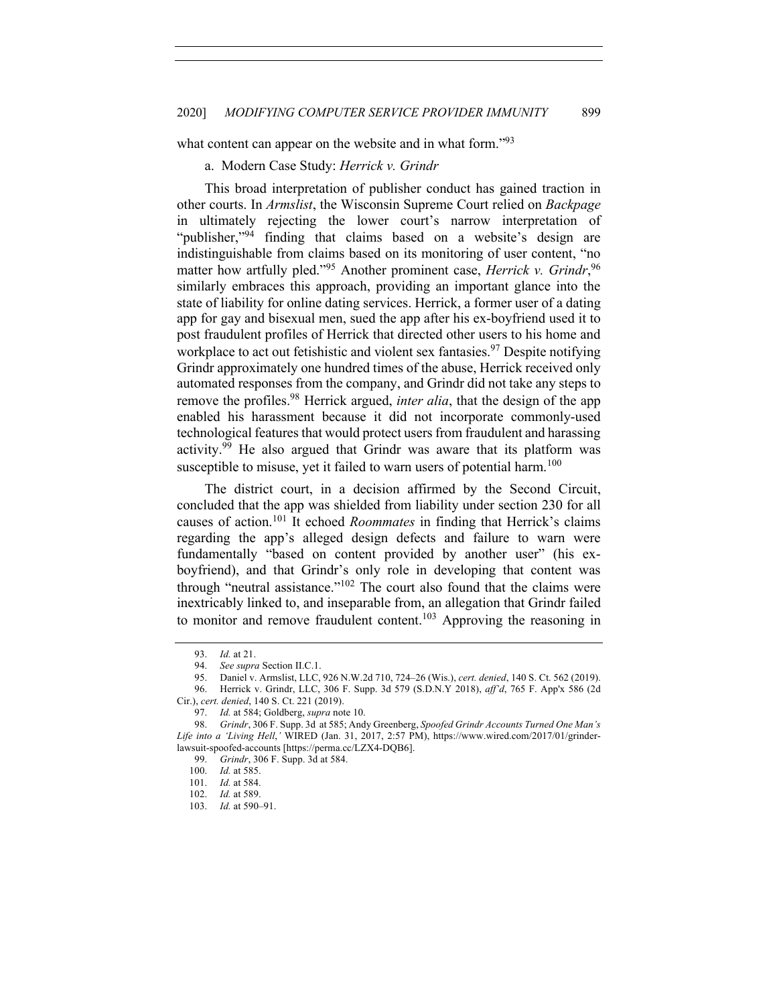what content can appear on the website and in what form.<sup>"93</sup>

a. Modern Case Study: *Herrick v. Grindr*

This broad interpretation of publisher conduct has gained traction in other courts. In *Armslist*, the Wisconsin Supreme Court relied on *Backpage* in ultimately rejecting the lower court's narrow interpretation of "publisher,"<sup>94</sup> finding that claims based on a website's design are indistinguishable from claims based on its monitoring of user content, "no matter how artfully pled."<sup>95</sup> Another prominent case, *Herrick v. Grindr*,<sup>96</sup> similarly embraces this approach, providing an important glance into the state of liability for online dating services. Herrick, a former user of a dating app for gay and bisexual men, sued the app after his ex-boyfriend used it to post fraudulent profiles of Herrick that directed other users to his home and workplace to act out fetishistic and violent sex fantasies.<sup>97</sup> Despite notifying Grindr approximately one hundred times of the abuse, Herrick received only automated responses from the company, and Grindr did not take any steps to remove the profiles.<sup>98</sup> Herrick argued, *inter alia*, that the design of the app enabled his harassment because it did not incorporate commonly-used technological features that would protect users from fraudulent and harassing activity.<sup>99</sup> He also argued that Grindr was aware that its platform was susceptible to misuse, yet it failed to warn users of potential harm.<sup>100</sup>

The district court, in a decision affirmed by the Second Circuit, concluded that the app was shielded from liability under section 230 for all causes of action.<sup>101</sup> It echoed *Roommates* in finding that Herrick's claims regarding the app's alleged design defects and failure to warn were fundamentally "based on content provided by another user" (his exboyfriend), and that Grindr's only role in developing that content was through "neutral assistance."<sup>102</sup> The court also found that the claims were inextricably linked to, and inseparable from, an allegation that Grindr failed to monitor and remove fraudulent content.<sup>103</sup> Approving the reasoning in

<sup>93.</sup> *Id.* at 21.

<sup>94.</sup> *See supra* Section II.C.1.

<sup>95.</sup> Daniel v. Armslist, LLC, 926 N.W.2d 710, 724–26 (Wis.), *cert. denied*, 140 S. Ct. 562 (2019).

<sup>96.</sup> Herrick v. Grindr, LLC, 306 F. Supp. 3d 579 (S.D.N.Y 2018), *aff'd*, 765 F. App'x 586 (2d Cir.), *cert. denied*, 140 S. Ct. 221 (2019).

<sup>97.</sup> *Id.* at 584; Goldberg, *supra* note 10.

<sup>98.</sup> *Grindr*, 306 F. Supp. 3d at 585; Andy Greenberg, *Spoofed Grindr Accounts Turned One Man's Life into a 'Living Hell*,*'* WIRED (Jan. 31, 2017, 2:57 PM), https://www.wired.com/2017/01/grinderlawsuit-spoofed-accounts [https://perma.cc/LZX4-DQB6].

<sup>99.</sup> *Grindr*, 306 F. Supp. 3d at 584.<br>100. *Id.* at 585.

*Id.* at 585.

<sup>101.</sup> *Id.* at 584.

<sup>102.</sup> *Id.* at 589.

<sup>103.</sup> *Id.* at 590–91.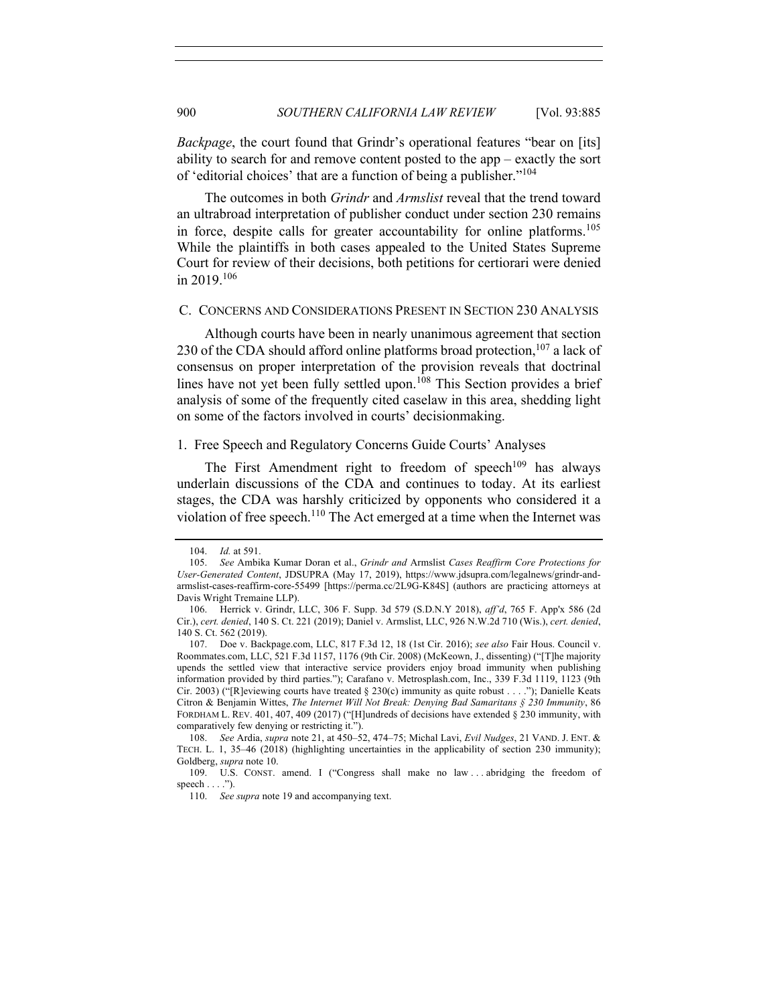*Backpage*, the court found that Grindr's operational features "bear on [its] ability to search for and remove content posted to the app – exactly the sort of 'editorial choices' that are a function of being a publisher."104

The outcomes in both *Grindr* and *Armslist* reveal that the trend toward an ultrabroad interpretation of publisher conduct under section 230 remains in force, despite calls for greater accountability for online platforms.<sup>105</sup> While the plaintiffs in both cases appealed to the United States Supreme Court for review of their decisions, both petitions for certiorari were denied in 2019.106

#### C. CONCERNS AND CONSIDERATIONS PRESENT IN SECTION 230 ANALYSIS

Although courts have been in nearly unanimous agreement that section 230 of the CDA should afford online platforms broad protection, $107$  a lack of consensus on proper interpretation of the provision reveals that doctrinal lines have not yet been fully settled upon.<sup>108</sup> This Section provides a brief analysis of some of the frequently cited caselaw in this area, shedding light on some of the factors involved in courts' decisionmaking.

### 1. Free Speech and Regulatory Concerns Guide Courts' Analyses

The First Amendment right to freedom of speech<sup>109</sup> has always underlain discussions of the CDA and continues to today. At its earliest stages, the CDA was harshly criticized by opponents who considered it a violation of free speech.<sup>110</sup> The Act emerged at a time when the Internet was

<sup>104.</sup> *Id.* at 591.

<sup>105.</sup> *See* Ambika Kumar Doran et al., *Grindr and* Armslist *Cases Reaffirm Core Protections for User-Generated Content*, JDSUPRA (May 17, 2019), https://www.jdsupra.com/legalnews/grindr-andarmslist-cases-reaffirm-core-55499 [https://perma.cc/2L9G-K84S] (authors are practicing attorneys at Davis Wright Tremaine LLP).

<sup>106.</sup> Herrick v. Grindr, LLC, 306 F. Supp. 3d 579 (S.D.N.Y 2018), *aff'd*, 765 F. App'x 586 (2d Cir.), *cert. denied*, 140 S. Ct. 221 (2019); Daniel v. Armslist, LLC, 926 N.W.2d 710 (Wis.), *cert. denied*, 140 S. Ct. 562 (2019).

<sup>107.</sup> Doe v. Backpage.com, LLC, 817 F.3d 12, 18 (1st Cir. 2016); *see also* Fair Hous. Council v. Roommates.com, LLC, 521 F.3d 1157, 1176 (9th Cir. 2008) (McKeown, J., dissenting) ("[T]he majority upends the settled view that interactive service providers enjoy broad immunity when publishing information provided by third parties."); Carafano v. Metrosplash.com, Inc., 339 F.3d 1119, 1123 (9th Cir. 2003) ("[R]eviewing courts have treated § 230(c) immunity as quite robust . . . ."); Danielle Keats Citron & Benjamin Wittes, *The Internet Will Not Break: Denying Bad Samaritans § 230 Immunity*, 86 FORDHAM L. REV. 401, 407, 409 (2017) ("[H]undreds of decisions have extended § 230 immunity, with comparatively few denying or restricting it.").

<sup>108.</sup> *See* Ardia, *supra* note 21, at 450–52, 474–75; Michal Lavi, *Evil Nudges*, 21 VAND. J. ENT. & TECH. L. 1, 35–46 (2018) (highlighting uncertainties in the applicability of section 230 immunity); Goldberg, *supra* note 10.

<sup>109.</sup> U.S. CONST. amend. I ("Congress shall make no law . . . abridging the freedom of speech  $\dots$ .").

<sup>110.</sup> *See supra* note 19 and accompanying text.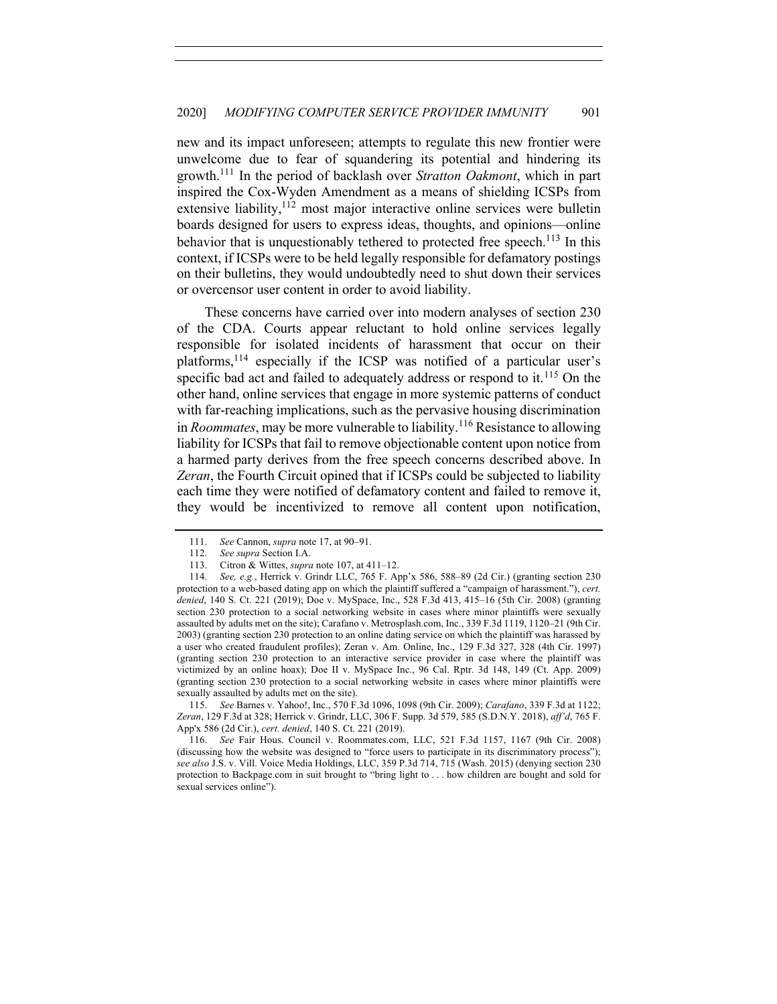new and its impact unforeseen; attempts to regulate this new frontier were unwelcome due to fear of squandering its potential and hindering its growth.111 In the period of backlash over *Stratton Oakmont*, which in part inspired the Cox-Wyden Amendment as a means of shielding ICSPs from extensive liability,  $112$  most major interactive online services were bulletin boards designed for users to express ideas, thoughts, and opinions—online behavior that is unquestionably tethered to protected free speech.<sup>113</sup> In this context, if ICSPs were to be held legally responsible for defamatory postings on their bulletins, they would undoubtedly need to shut down their services or overcensor user content in order to avoid liability.

These concerns have carried over into modern analyses of section 230 of the CDA. Courts appear reluctant to hold online services legally responsible for isolated incidents of harassment that occur on their platforms,114 especially if the ICSP was notified of a particular user's specific bad act and failed to adequately address or respond to it.<sup>115</sup> On the other hand, online services that engage in more systemic patterns of conduct with far-reaching implications, such as the pervasive housing discrimination in *Roommates*, may be more vulnerable to liability.<sup>116</sup> Resistance to allowing liability for ICSPs that fail to remove objectionable content upon notice from a harmed party derives from the free speech concerns described above. In *Zeran*, the Fourth Circuit opined that if ICSPs could be subjected to liability each time they were notified of defamatory content and failed to remove it, they would be incentivized to remove all content upon notification,

115. *See* Barnes v. Yahoo!, Inc., 570 F.3d 1096, 1098 (9th Cir. 2009); *Carafano*, 339 F.3d at 1122; *Zeran*, 129 F.3d at 328; Herrick v. Grindr, LLC, 306 F. Supp. 3d 579, 585 (S.D.N.Y. 2018), *aff'd*, 765 F. App'x 586 (2d Cir.), *cert. denied*, 140 S. Ct. 221 (2019).

116. *See* Fair Hous. Council v. Roommates.com, LLC, 521 F.3d 1157, 1167 (9th Cir. 2008) (discussing how the website was designed to "force users to participate in its discriminatory process"); *see also* J.S. v. Vill. Voice Media Holdings, LLC, 359 P.3d 714, 715 (Wash. 2015) (denying section 230 protection to Backpage.com in suit brought to "bring light to . . . how children are bought and sold for sexual services online").

<sup>111.</sup> *See* Cannon, *supra* note 17, at 90–91.

<sup>112.</sup> *See supra* Section I.A.

<sup>113.</sup> Citron & Wittes, *supra* note 107, at 411–12.

<sup>114.</sup> *See, e.g.*, Herrick v. Grindr LLC, 765 F. App'x 586, 588–89 (2d Cir.) (granting section 230 protection to a web-based dating app on which the plaintiff suffered a "campaign of harassment."), *cert. denied*, 140 S. Ct. 221 (2019); Doe v. MySpace, Inc., 528 F.3d 413, 415–16 (5th Cir. 2008) (granting section 230 protection to a social networking website in cases where minor plaintiffs were sexually assaulted by adults met on the site); Carafano v. Metrosplash.com, Inc., 339 F.3d 1119, 1120–21 (9th Cir. 2003) (granting section 230 protection to an online dating service on which the plaintiff was harassed by a user who created fraudulent profiles); Zeran v. Am. Online, Inc., 129 F.3d 327, 328 (4th Cir. 1997) (granting section 230 protection to an interactive service provider in case where the plaintiff was victimized by an online hoax); Doe II v. MySpace Inc., 96 Cal. Rptr. 3d 148, 149 (Ct. App. 2009) (granting section 230 protection to a social networking website in cases where minor plaintiffs were sexually assaulted by adults met on the site).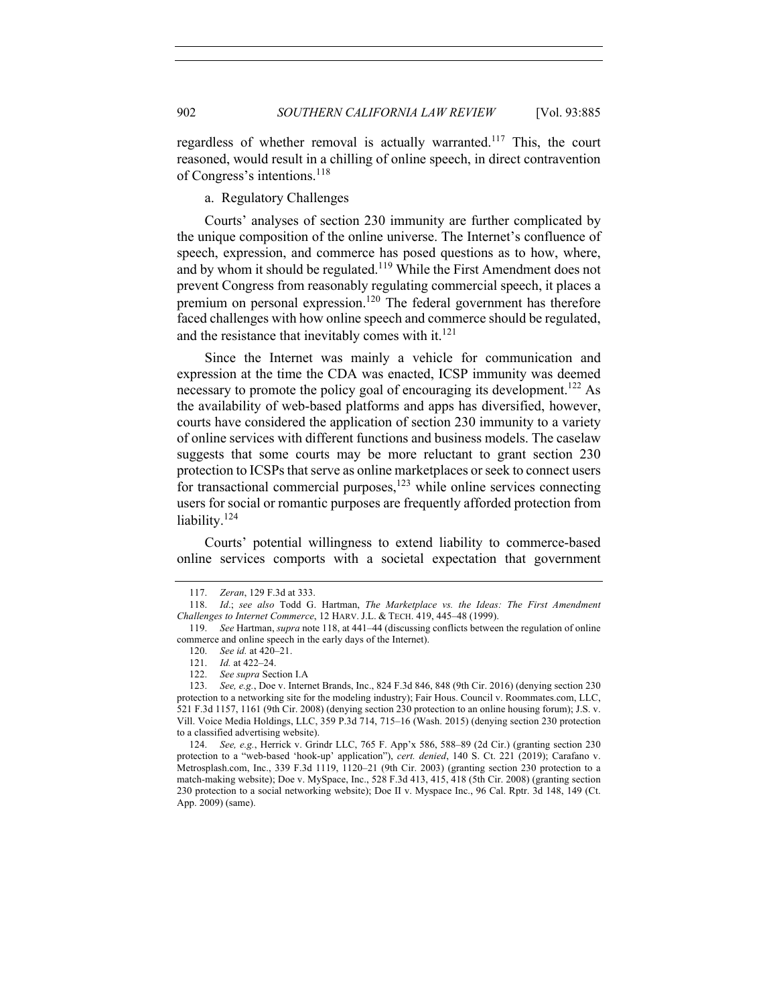regardless of whether removal is actually warranted.<sup>117</sup> This, the court reasoned, would result in a chilling of online speech, in direct contravention of Congress's intentions.<sup>118</sup>

a. Regulatory Challenges

Courts' analyses of section 230 immunity are further complicated by the unique composition of the online universe. The Internet's confluence of speech, expression, and commerce has posed questions as to how, where, and by whom it should be regulated.<sup>119</sup> While the First Amendment does not prevent Congress from reasonably regulating commercial speech, it places a premium on personal expression.120 The federal government has therefore faced challenges with how online speech and commerce should be regulated, and the resistance that inevitably comes with it.<sup>121</sup>

Since the Internet was mainly a vehicle for communication and expression at the time the CDA was enacted, ICSP immunity was deemed necessary to promote the policy goal of encouraging its development.<sup>122</sup> As the availability of web-based platforms and apps has diversified, however, courts have considered the application of section 230 immunity to a variety of online services with different functions and business models. The caselaw suggests that some courts may be more reluctant to grant section 230 protection to ICSPs that serve as online marketplaces or seek to connect users for transactional commercial purposes,  $123$  while online services connecting users for social or romantic purposes are frequently afforded protection from liability.<sup>124</sup>

Courts' potential willingness to extend liability to commerce-based online services comports with a societal expectation that government

<sup>117.</sup> *Zeran*, 129 F.3d at 333.

<sup>118.</sup> *Id*.; *see also* Todd G. Hartman, *The Marketplace vs. the Ideas: The First Amendment Challenges to Internet Commerce*, 12 HARV. J.L. & TECH. 419, 445–48 (1999).

<sup>119.</sup> *See* Hartman, *supra* note 118, at 441–44 (discussing conflicts between the regulation of online commerce and online speech in the early days of the Internet).

<sup>120.</sup> *See id.* at 420–21.

<sup>121.</sup> *Id.* at 422–24.

<sup>122.</sup> *See supra* Section I.A

<sup>123.</sup> *See, e.g.*, Doe v. Internet Brands, Inc., 824 F.3d 846, 848 (9th Cir. 2016) (denying section 230 protection to a networking site for the modeling industry); Fair Hous. Council v. Roommates.com, LLC, 521 F.3d 1157, 1161 (9th Cir. 2008) (denying section 230 protection to an online housing forum); J.S. v. Vill. Voice Media Holdings, LLC, 359 P.3d 714, 715–16 (Wash. 2015) (denying section 230 protection to a classified advertising website).

<sup>124.</sup> *See, e.g.*, Herrick v. Grindr LLC, 765 F. App'x 586, 588–89 (2d Cir.) (granting section 230 protection to a "web-based 'hook-up' application"), *cert. denied*, 140 S. Ct. 221 (2019); Carafano v. Metrosplash.com, Inc., 339 F.3d 1119, 1120–21 (9th Cir. 2003) (granting section 230 protection to a match-making website); Doe v. MySpace, Inc., 528 F.3d 413, 415, 418 (5th Cir. 2008) (granting section 230 protection to a social networking website); Doe II v. Myspace Inc., 96 Cal. Rptr. 3d 148, 149 (Ct. App. 2009) (same).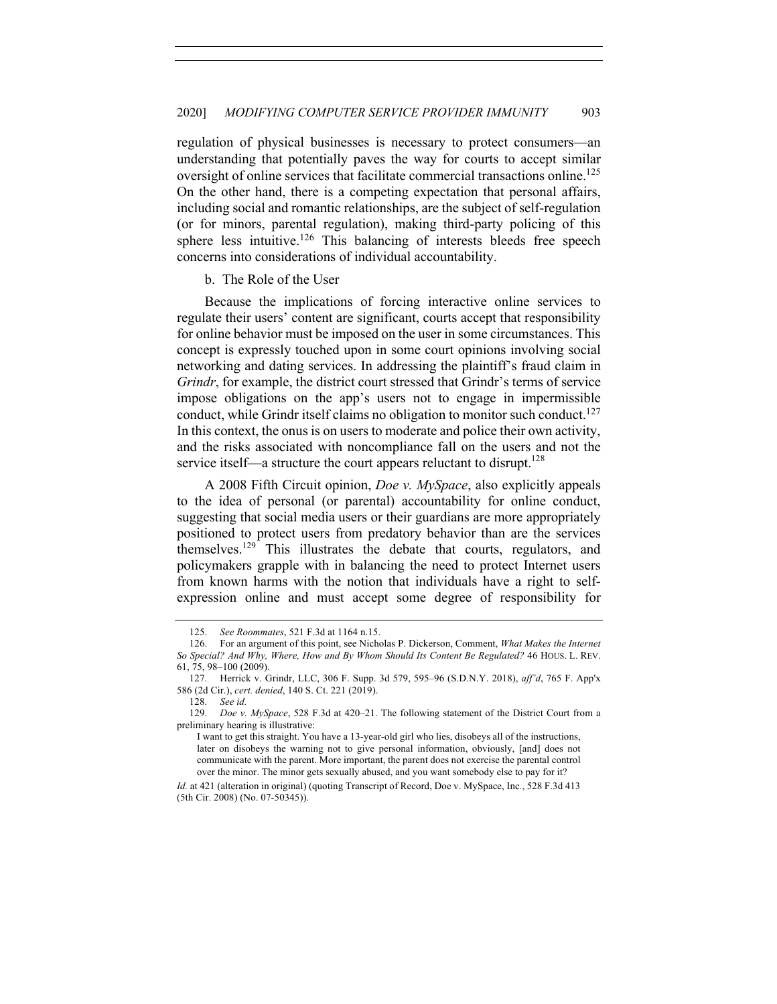regulation of physical businesses is necessary to protect consumers—an understanding that potentially paves the way for courts to accept similar oversight of online services that facilitate commercial transactions online.<sup>125</sup> On the other hand, there is a competing expectation that personal affairs, including social and romantic relationships, are the subject of self-regulation (or for minors, parental regulation), making third-party policing of this sphere less intuitive.<sup>126</sup> This balancing of interests bleeds free speech concerns into considerations of individual accountability.

b. The Role of the User

Because the implications of forcing interactive online services to regulate their users' content are significant, courts accept that responsibility for online behavior must be imposed on the user in some circumstances. This concept is expressly touched upon in some court opinions involving social networking and dating services. In addressing the plaintiff's fraud claim in *Grindr*, for example, the district court stressed that Grindr's terms of service impose obligations on the app's users not to engage in impermissible conduct, while Grindr itself claims no obligation to monitor such conduct.<sup>127</sup> In this context, the onus is on users to moderate and police their own activity, and the risks associated with noncompliance fall on the users and not the service itself—a structure the court appears reluctant to disrupt.<sup>128</sup>

A 2008 Fifth Circuit opinion, *Doe v. MySpace*, also explicitly appeals to the idea of personal (or parental) accountability for online conduct, suggesting that social media users or their guardians are more appropriately positioned to protect users from predatory behavior than are the services themselves.<sup>129</sup> This illustrates the debate that courts, regulators, and policymakers grapple with in balancing the need to protect Internet users from known harms with the notion that individuals have a right to selfexpression online and must accept some degree of responsibility for

<sup>125.</sup> *See Roommates*, 521 F.3d at 1164 n.15.

<sup>126.</sup> For an argument of this point, see Nicholas P. Dickerson, Comment, *What Makes the Internet So Special? And Why, Where, How and By Whom Should Its Content Be Regulated?* 46 HOUS. L. REV. 61, 75, 98–100 (2009).

<sup>127.</sup> Herrick v. Grindr, LLC, 306 F. Supp. 3d 579, 595–96 (S.D.N.Y. 2018), *aff'd*, 765 F. App'x 586 (2d Cir.), *cert. denied*, 140 S. Ct. 221 (2019).

<sup>128.</sup> *See id.*

<sup>129.</sup> *Doe v. MySpace*, 528 F.3d at 420–21. The following statement of the District Court from a preliminary hearing is illustrative:

I want to get this straight. You have a 13-year-old girl who lies, disobeys all of the instructions, later on disobeys the warning not to give personal information, obviously, [and] does not communicate with the parent. More important, the parent does not exercise the parental control over the minor. The minor gets sexually abused, and you want somebody else to pay for it?

*Id.* at 421 (alteration in original) (quoting Transcript of Record, Doe v. MySpace, Inc*.*, 528 F.3d 413 (5th Cir. 2008) (No. 07-50345)).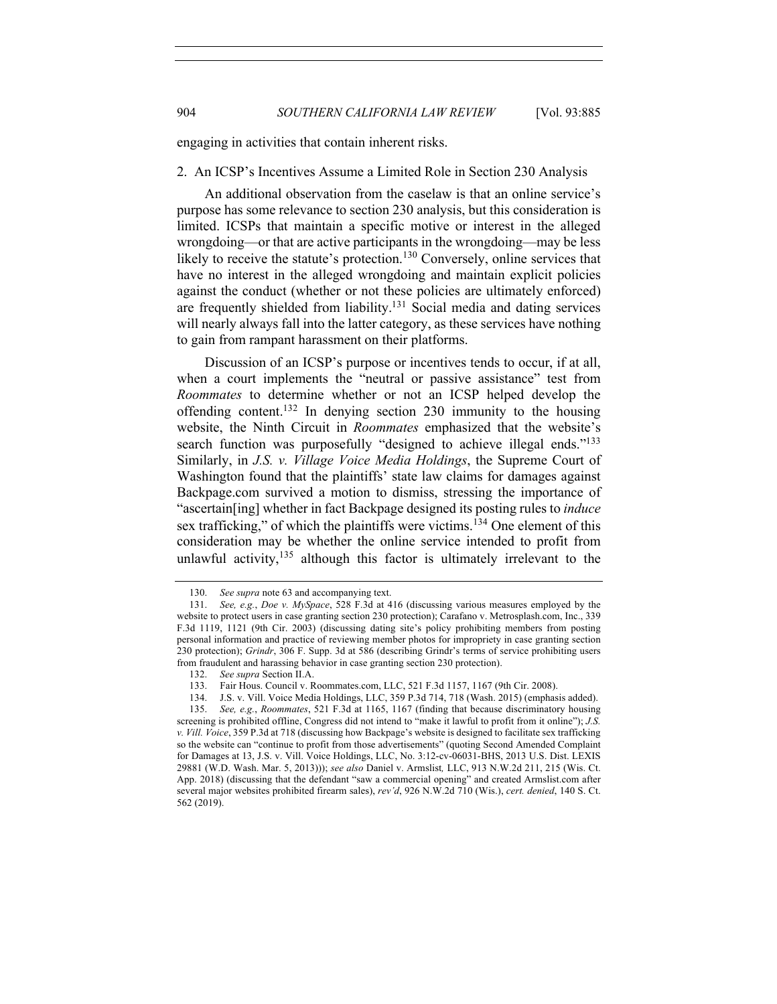engaging in activities that contain inherent risks.

#### 2. An ICSP's Incentives Assume a Limited Role in Section 230 Analysis

An additional observation from the caselaw is that an online service's purpose has some relevance to section 230 analysis, but this consideration is limited. ICSPs that maintain a specific motive or interest in the alleged wrongdoing—or that are active participants in the wrongdoing—may be less likely to receive the statute's protection.<sup>130</sup> Conversely, online services that have no interest in the alleged wrongdoing and maintain explicit policies against the conduct (whether or not these policies are ultimately enforced) are frequently shielded from liability.<sup>131</sup> Social media and dating services will nearly always fall into the latter category, as these services have nothing to gain from rampant harassment on their platforms.

Discussion of an ICSP's purpose or incentives tends to occur, if at all, when a court implements the "neutral or passive assistance" test from *Roommates* to determine whether or not an ICSP helped develop the offending content.<sup>132</sup> In denying section 230 immunity to the housing website, the Ninth Circuit in *Roommates* emphasized that the website's search function was purposefully "designed to achieve illegal ends."<sup>133</sup> Similarly, in *J.S. v. Village Voice Media Holdings*, the Supreme Court of Washington found that the plaintiffs' state law claims for damages against Backpage.com survived a motion to dismiss, stressing the importance of "ascertain[ing] whether in fact Backpage designed its posting rules to *induce* sex trafficking," of which the plaintiffs were victims.<sup>134</sup> One element of this consideration may be whether the online service intended to profit from unlawful activity, $135$  although this factor is ultimately irrelevant to the

<sup>130.</sup> *See supra* note 63 and accompanying text.

<sup>131.</sup> *See, e.g.*, *Doe v. MySpace*, 528 F.3d at 416 (discussing various measures employed by the website to protect users in case granting section 230 protection); Carafano v. Metrosplash.com, Inc., 339 F.3d 1119, 1121 (9th Cir. 2003) (discussing dating site's policy prohibiting members from posting personal information and practice of reviewing member photos for impropriety in case granting section 230 protection); *Grindr*, 306 F. Supp. 3d at 586 (describing Grindr's terms of service prohibiting users from fraudulent and harassing behavior in case granting section 230 protection).

<sup>132.</sup> *See supra* Section II.A.

<sup>133.</sup> Fair Hous. Council v. Roommates.com, LLC, 521 F.3d 1157, 1167 (9th Cir. 2008).

<sup>134.</sup> J.S. v. Vill. Voice Media Holdings, LLC, 359 P.3d 714, 718 (Wash. 2015) (emphasis added).

<sup>135.</sup> *See, e.g.*, *Roommates*, 521 F.3d at 1165, 1167 (finding that because discriminatory housing screening is prohibited offline, Congress did not intend to "make it lawful to profit from it online"); *J.S. v. Vill. Voice*, 359 P.3d at 718 (discussing how Backpage's website is designed to facilitate sex trafficking so the website can "continue to profit from those advertisements" (quoting Second Amended Complaint for Damages at 13, J.S. v. Vill. Voice Holdings, LLC, No. 3:12-cv-06031-BHS, 2013 U.S. Dist. LEXIS 29881 (W.D. Wash. Mar. 5, 2013))); *see also* Daniel v. Armslist*,* LLC, 913 N.W.2d 211, 215 (Wis. Ct. App. 2018) (discussing that the defendant "saw a commercial opening" and created Armslist.com after several major websites prohibited firearm sales), *rev'd*, 926 N.W.2d 710 (Wis.), *cert. denied*, 140 S. Ct. 562 (2019).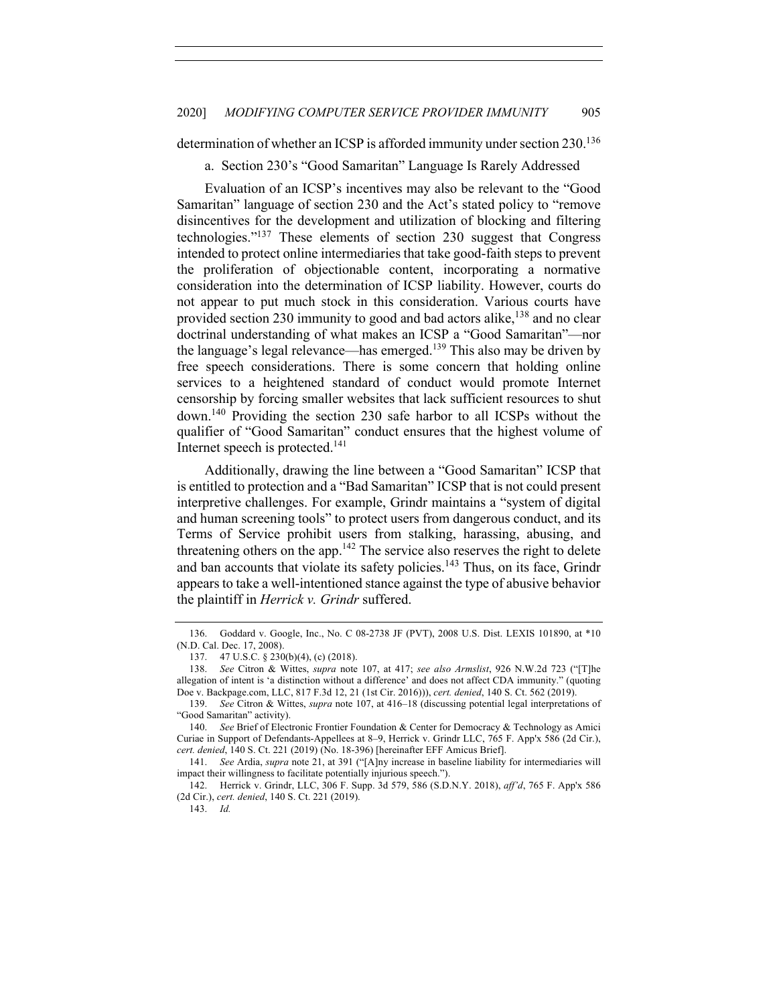determination of whether an ICSP is afforded immunity under section 230.<sup>136</sup>

a. Section 230's "Good Samaritan" Language Is Rarely Addressed

Evaluation of an ICSP's incentives may also be relevant to the "Good Samaritan" language of section 230 and the Act's stated policy to "remove disincentives for the development and utilization of blocking and filtering technologies."137 These elements of section 230 suggest that Congress intended to protect online intermediaries that take good-faith steps to prevent the proliferation of objectionable content, incorporating a normative consideration into the determination of ICSP liability. However, courts do not appear to put much stock in this consideration. Various courts have provided section 230 immunity to good and bad actors alike,  $^{138}$  and no clear doctrinal understanding of what makes an ICSP a "Good Samaritan"—nor the language's legal relevance—has emerged.<sup>139</sup> This also may be driven by free speech considerations. There is some concern that holding online services to a heightened standard of conduct would promote Internet censorship by forcing smaller websites that lack sufficient resources to shut down.140 Providing the section 230 safe harbor to all ICSPs without the qualifier of "Good Samaritan" conduct ensures that the highest volume of Internet speech is protected.<sup>141</sup>

Additionally, drawing the line between a "Good Samaritan" ICSP that is entitled to protection and a "Bad Samaritan" ICSP that is not could present interpretive challenges. For example, Grindr maintains a "system of digital and human screening tools" to protect users from dangerous conduct, and its Terms of Service prohibit users from stalking, harassing, abusing, and threatening others on the app. $142$  The service also reserves the right to delete and ban accounts that violate its safety policies.<sup>143</sup> Thus, on its face, Grindr appears to take a well-intentioned stance against the type of abusive behavior the plaintiff in *Herrick v. Grindr* suffered.

<sup>136.</sup> Goddard v. Google, Inc., No. C 08-2738 JF (PVT), 2008 U.S. Dist. LEXIS 101890, at \*10 (N.D. Cal. Dec. 17, 2008).

<sup>137.</sup> 47 U.S.C. § 230(b)(4), (c) (2018).

<sup>138.</sup> *See* Citron & Wittes, *supra* note 107, at 417; *see also Armslist*, 926 N.W.2d 723 ("[T]he allegation of intent is 'a distinction without a difference' and does not affect CDA immunity." (quoting Doe v. Backpage.com, LLC, 817 F.3d 12, 21 (1st Cir. 2016))), *cert. denied*, 140 S. Ct. 562 (2019).

<sup>139.</sup> *See* Citron & Wittes, *supra* note 107, at 416–18 (discussing potential legal interpretations of "Good Samaritan" activity).

<sup>140.</sup> *See* Brief of Electronic Frontier Foundation & Center for Democracy & Technology as Amici Curiae in Support of Defendants-Appellees at 8–9, Herrick v. Grindr LLC, 765 F. App'x 586 (2d Cir.), *cert. denied*, 140 S. Ct. 221 (2019) (No. 18-396) [hereinafter EFF Amicus Brief].

<sup>141.</sup> *See* Ardia, *supra* note 21, at 391 ("[A]ny increase in baseline liability for intermediaries will impact their willingness to facilitate potentially injurious speech.").

<sup>142.</sup> Herrick v. Grindr, LLC, 306 F. Supp. 3d 579, 586 (S.D.N.Y. 2018), *aff'd*, 765 F. App'x 586 (2d Cir.), *cert. denied*, 140 S. Ct. 221 (2019).

<sup>143.</sup> *Id.*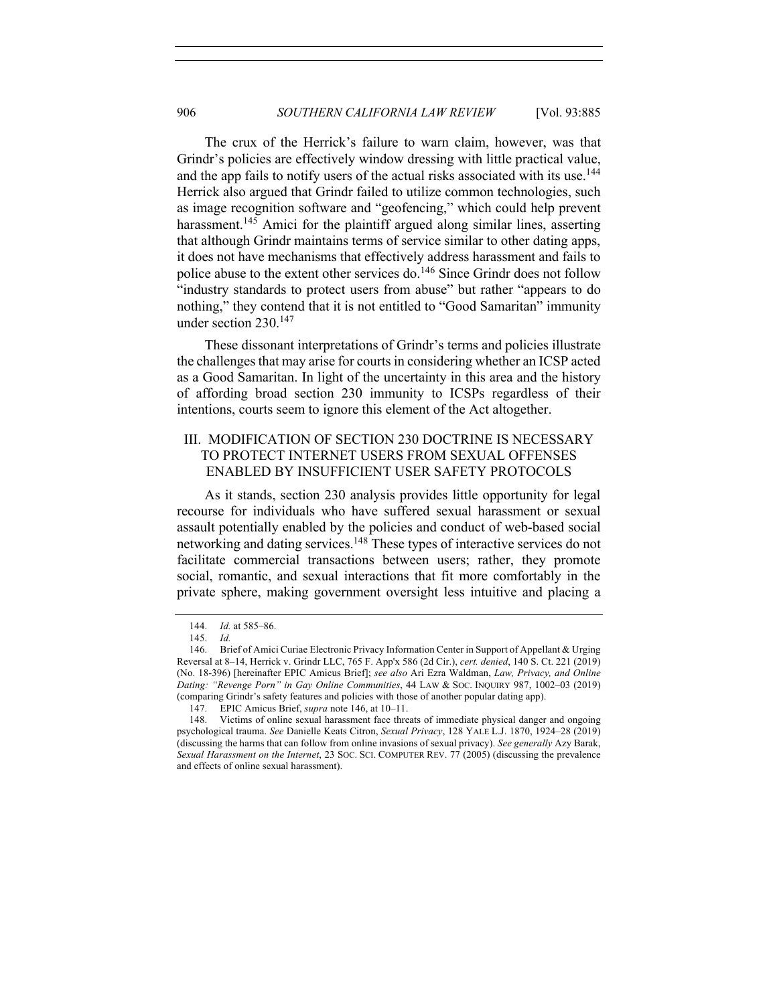The crux of the Herrick's failure to warn claim, however, was that Grindr's policies are effectively window dressing with little practical value, and the app fails to notify users of the actual risks associated with its use.<sup>144</sup> Herrick also argued that Grindr failed to utilize common technologies, such as image recognition software and "geofencing," which could help prevent harassment.<sup>145</sup> Amici for the plaintiff argued along similar lines, asserting that although Grindr maintains terms of service similar to other dating apps, it does not have mechanisms that effectively address harassment and fails to police abuse to the extent other services do.<sup>146</sup> Since Grindr does not follow "industry standards to protect users from abuse" but rather "appears to do nothing," they contend that it is not entitled to "Good Samaritan" immunity under section 230.147

These dissonant interpretations of Grindr's terms and policies illustrate the challenges that may arise for courts in considering whether an ICSP acted as a Good Samaritan. In light of the uncertainty in this area and the history of affording broad section 230 immunity to ICSPs regardless of their intentions, courts seem to ignore this element of the Act altogether.

# III. MODIFICATION OF SECTION 230 DOCTRINE IS NECESSARY TO PROTECT INTERNET USERS FROM SEXUAL OFFENSES ENABLED BY INSUFFICIENT USER SAFETY PROTOCOLS

As it stands, section 230 analysis provides little opportunity for legal recourse for individuals who have suffered sexual harassment or sexual assault potentially enabled by the policies and conduct of web-based social networking and dating services.<sup>148</sup> These types of interactive services do not facilitate commercial transactions between users; rather, they promote social, romantic, and sexual interactions that fit more comfortably in the private sphere, making government oversight less intuitive and placing a

<sup>144.</sup> *Id.* at 585–86.

<sup>145.</sup> *Id.*

<sup>146.</sup> Brief of Amici Curiae Electronic Privacy Information Center in Support of Appellant & Urging Reversal at 8–14, Herrick v. Grindr LLC, 765 F. App'x 586 (2d Cir.), *cert. denied*, 140 S. Ct. 221 (2019) (No. 18-396) [hereinafter EPIC Amicus Brief]; *see also* Ari Ezra Waldman, *Law, Privacy, and Online Dating: "Revenge Porn" in Gay Online Communities*, 44 LAW & SOC. INQUIRY 987, 1002–03 (2019) (comparing Grindr's safety features and policies with those of another popular dating app).

<sup>147.</sup> EPIC Amicus Brief, *supra* note 146, at 10–11.

<sup>148.</sup> Victims of online sexual harassment face threats of immediate physical danger and ongoing psychological trauma. *See* Danielle Keats Citron, *Sexual Privacy*, 128 YALE L.J. 1870, 1924–28 (2019) (discussing the harms that can follow from online invasions of sexual privacy). *See generally* Azy Barak, *Sexual Harassment on the Internet*, 23 SOC. SCI. COMPUTER REV. 77 (2005) (discussing the prevalence and effects of online sexual harassment).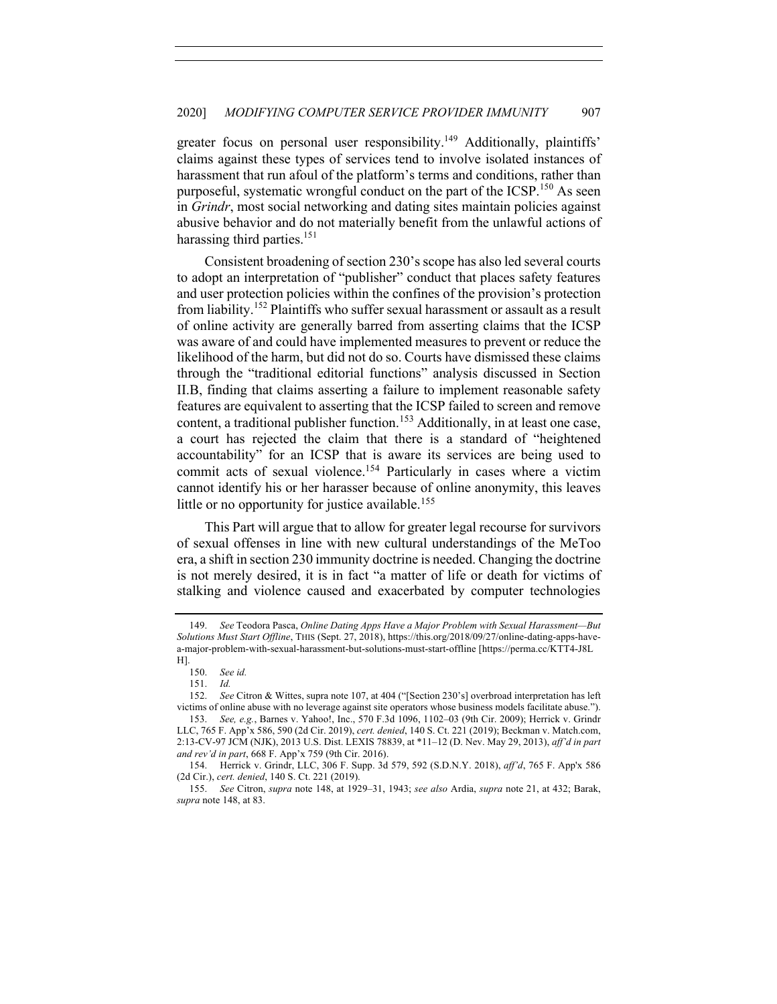greater focus on personal user responsibility.<sup>149</sup> Additionally, plaintiffs' claims against these types of services tend to involve isolated instances of harassment that run afoul of the platform's terms and conditions, rather than purposeful, systematic wrongful conduct on the part of the  $ICSP$ <sup>150</sup> As seen in *Grindr*, most social networking and dating sites maintain policies against abusive behavior and do not materially benefit from the unlawful actions of harassing third parties.<sup>151</sup>

Consistent broadening of section 230's scope has also led several courts to adopt an interpretation of "publisher" conduct that places safety features and user protection policies within the confines of the provision's protection from liability.<sup>152</sup> Plaintiffs who suffer sexual harassment or assault as a result of online activity are generally barred from asserting claims that the ICSP was aware of and could have implemented measures to prevent or reduce the likelihood of the harm, but did not do so. Courts have dismissed these claims through the "traditional editorial functions" analysis discussed in Section II.B, finding that claims asserting a failure to implement reasonable safety features are equivalent to asserting that the ICSP failed to screen and remove content, a traditional publisher function.<sup>153</sup> Additionally, in at least one case, a court has rejected the claim that there is a standard of "heightened accountability" for an ICSP that is aware its services are being used to commit acts of sexual violence.<sup>154</sup> Particularly in cases where a victim cannot identify his or her harasser because of online anonymity, this leaves little or no opportunity for justice available.<sup>155</sup>

This Part will argue that to allow for greater legal recourse for survivors of sexual offenses in line with new cultural understandings of the MeToo era, a shift in section 230 immunity doctrine is needed. Changing the doctrine is not merely desired, it is in fact "a matter of life or death for victims of stalking and violence caused and exacerbated by computer technologies

<sup>149.</sup> *See* Teodora Pasca, *Online Dating Apps Have a Major Problem with Sexual Harassment—But Solutions Must Start Offline*, THIS (Sept. 27, 2018), https://this.org/2018/09/27/online-dating-apps-havea-major-problem-with-sexual-harassment-but-solutions-must-start-offline [https://perma.cc/KTT4-J8L H].

<sup>150.</sup> *See id.*

<sup>151.</sup> *Id.*

<sup>152.</sup> *See* Citron & Wittes, supra note 107, at 404 ("[Section 230's] overbroad interpretation has left victims of online abuse with no leverage against site operators whose business models facilitate abuse.").

<sup>153.</sup> *See, e.g.*, Barnes v. Yahoo!, Inc., 570 F.3d 1096, 1102–03 (9th Cir. 2009); Herrick v. Grindr LLC, 765 F. App'x 586, 590 (2d Cir. 2019), *cert. denied*, 140 S. Ct. 221 (2019); Beckman v. Match.com, 2:13-CV-97 JCM (NJK), 2013 U.S. Dist. LEXIS 78839, at \*11–12 (D. Nev. May 29, 2013), *aff'd in part and rev'd in part*, 668 F. App'x 759 (9th Cir. 2016).

<sup>154.</sup> Herrick v. Grindr, LLC, 306 F. Supp. 3d 579, 592 (S.D.N.Y. 2018), *aff'd*, 765 F. App'x 586 (2d Cir.), *cert. denied*, 140 S. Ct. 221 (2019).

<sup>155.</sup> *See* Citron, *supra* note 148, at 1929–31, 1943; *see also* Ardia, *supra* note 21, at 432; Barak, *supra* note 148, at 83.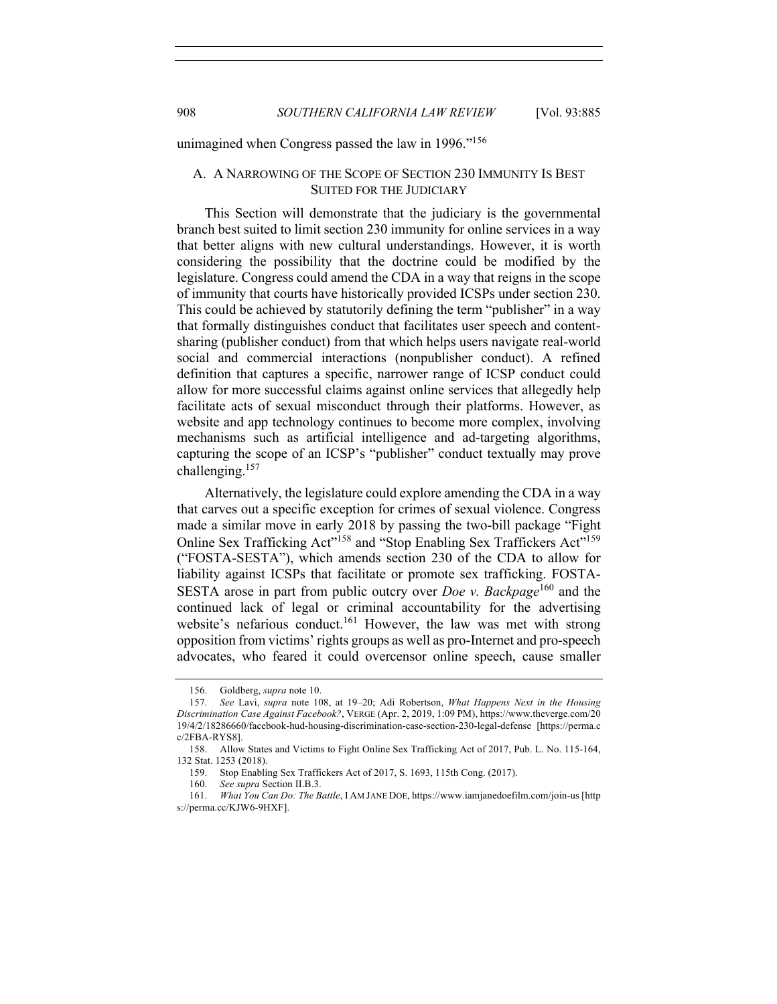unimagined when Congress passed the law in 1996."<sup>156</sup>

## A. A NARROWING OF THE SCOPE OF SECTION 230 IMMUNITY IS BEST SUITED FOR THE JUDICIARY

This Section will demonstrate that the judiciary is the governmental branch best suited to limit section 230 immunity for online services in a way that better aligns with new cultural understandings. However, it is worth considering the possibility that the doctrine could be modified by the legislature. Congress could amend the CDA in a way that reigns in the scope of immunity that courts have historically provided ICSPs under section 230. This could be achieved by statutorily defining the term "publisher" in a way that formally distinguishes conduct that facilitates user speech and contentsharing (publisher conduct) from that which helps users navigate real-world social and commercial interactions (nonpublisher conduct). A refined definition that captures a specific, narrower range of ICSP conduct could allow for more successful claims against online services that allegedly help facilitate acts of sexual misconduct through their platforms. However, as website and app technology continues to become more complex, involving mechanisms such as artificial intelligence and ad-targeting algorithms, capturing the scope of an ICSP's "publisher" conduct textually may prove challenging.<sup>157</sup>

Alternatively, the legislature could explore amending the CDA in a way that carves out a specific exception for crimes of sexual violence. Congress made a similar move in early 2018 by passing the two-bill package "Fight Online Sex Trafficking Act<sup>"158</sup> and "Stop Enabling Sex Traffickers Act"<sup>159</sup> ("FOSTA-SESTA"), which amends section 230 of the CDA to allow for liability against ICSPs that facilitate or promote sex trafficking. FOSTA-SESTA arose in part from public outcry over *Doe v. Backpage*<sup>160</sup> and the continued lack of legal or criminal accountability for the advertising website's nefarious conduct.<sup>161</sup> However, the law was met with strong opposition from victims' rights groups as well as pro-Internet and pro-speech advocates, who feared it could overcensor online speech, cause smaller

<sup>156.</sup> Goldberg, *supra* note 10.

<sup>157.</sup> *See* Lavi, *supra* note 108, at 19–20; Adi Robertson, *What Happens Next in the Housing Discrimination Case Against Facebook?*, VERGE (Apr. 2, 2019, 1:09 PM), https://www.theverge.com/20 19/4/2/18286660/facebook-hud-housing-discrimination-case-section-230-legal-defense [https://perma.c c/2FBA-RYS8].

<sup>158.</sup> Allow States and Victims to Fight Online Sex Trafficking Act of 2017, Pub. L. No. 115-164, 132 Stat. 1253 (2018).

<sup>159.</sup> Stop Enabling Sex Traffickers Act of 2017, S. 1693, 115th Cong. (2017).

<sup>160.</sup> *See supra* Section II.B.3.

<sup>161.</sup> *What You Can Do: The Battle*, I AM JANE DOE, https://www.iamjanedoefilm.com/join-us [http s://perma.cc/KJW6-9HXF].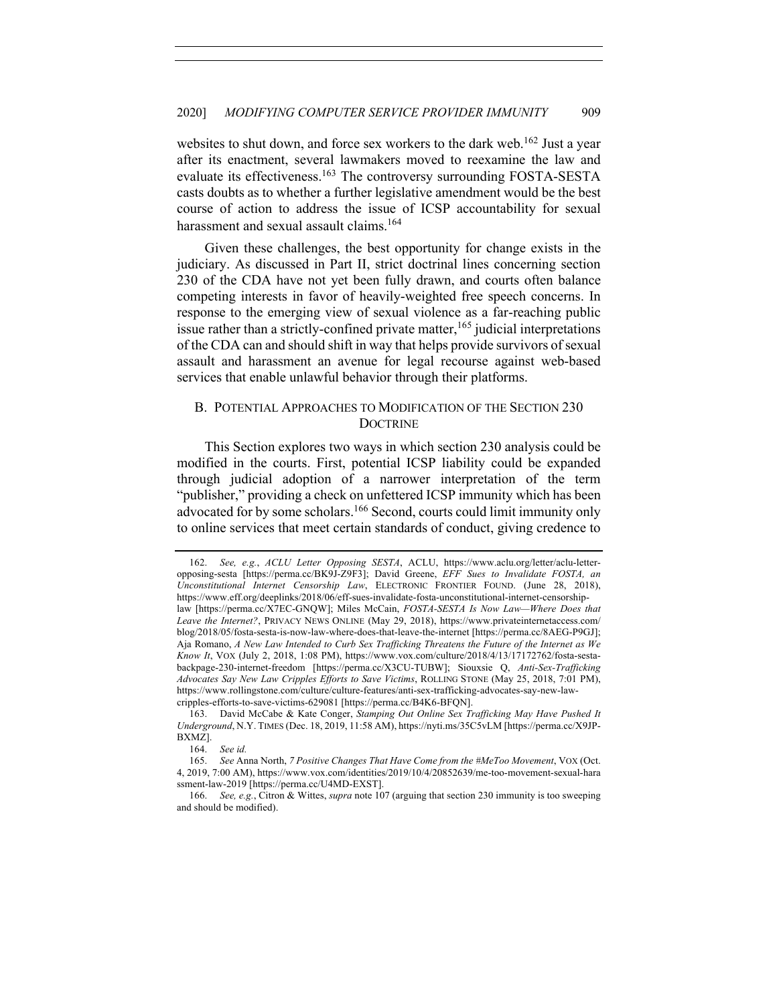websites to shut down, and force sex workers to the dark web.<sup>162</sup> Just a year after its enactment, several lawmakers moved to reexamine the law and evaluate its effectiveness.<sup>163</sup> The controversy surrounding FOSTA-SESTA casts doubts as to whether a further legislative amendment would be the best course of action to address the issue of ICSP accountability for sexual harassment and sexual assault claims.<sup>164</sup>

Given these challenges, the best opportunity for change exists in the judiciary. As discussed in Part II, strict doctrinal lines concerning section 230 of the CDA have not yet been fully drawn, and courts often balance competing interests in favor of heavily-weighted free speech concerns. In response to the emerging view of sexual violence as a far-reaching public issue rather than a strictly-confined private matter,  $165$  judicial interpretations of the CDA can and should shift in way that helps provide survivors of sexual assault and harassment an avenue for legal recourse against web-based services that enable unlawful behavior through their platforms.

# B. POTENTIAL APPROACHES TO MODIFICATION OF THE SECTION 230 **DOCTRINE**

This Section explores two ways in which section 230 analysis could be modified in the courts. First, potential ICSP liability could be expanded through judicial adoption of a narrower interpretation of the term "publisher," providing a check on unfettered ICSP immunity which has been advocated for by some scholars.<sup>166</sup> Second, courts could limit immunity only to online services that meet certain standards of conduct, giving credence to

<sup>162.</sup> *See, e.g.*, *ACLU Letter Opposing SESTA*, ACLU, https://www.aclu.org/letter/aclu-letteropposing-sesta [https://perma.cc/BK9J-Z9F3]; David Greene, *EFF Sues to Invalidate FOSTA, an Unconstitutional Internet Censorship Law*, ELECTRONIC FRONTIER FOUND. (June 28, 2018), https://www.eff.org/deeplinks/2018/06/eff-sues-invalidate-fosta-unconstitutional-internet-censorshiplaw [https://perma.cc/X7EC-GNQW]; Miles McCain, *FOSTA-SESTA Is Now Law—Where Does that Leave the Internet?*, PRIVACY NEWS ONLINE (May 29, 2018), https://www.privateinternetaccess.com/ blog/2018/05/fosta-sesta-is-now-law-where-does-that-leave-the-internet [https://perma.cc/8AEG-P9GJ]; Aja Romano, *A New Law Intended to Curb Sex Trafficking Threatens the Future of the Internet as We Know It*, VOX (July 2, 2018, 1:08 PM), https://www.vox.com/culture/2018/4/13/17172762/fosta-sestabackpage-230-internet-freedom [https://perma.cc/X3CU-TUBW]; Siouxsie Q, *Anti-Sex-Trafficking Advocates Say New Law Cripples Efforts to Save Victims*, ROLLING STONE (May 25, 2018, 7:01 PM), https://www.rollingstone.com/culture/culture-features/anti-sex-trafficking-advocates-say-new-lawcripples-efforts-to-save-victims-629081 [https://perma.cc/B4K6-BFQN].

<sup>163.</sup> David McCabe & Kate Conger, *Stamping Out Online Sex Trafficking May Have Pushed It Underground*, N.Y. TIMES (Dec. 18, 2019, 11:58 AM), https://nyti.ms/35C5vLM [https://perma.cc/X9JP-BXMZ].

<sup>164.</sup> *See id.*

<sup>165.</sup> *See* Anna North, *7 Positive Changes That Have Come from the #MeToo Movement*, VOX (Oct. 4, 2019, 7:00 AM), https://www.vox.com/identities/2019/10/4/20852639/me-too-movement-sexual-hara ssment-law-2019 [https://perma.cc/U4MD-EXST].

<sup>166.</sup> *See, e.g.*, Citron & Wittes, *supra* note 107 (arguing that section 230 immunity is too sweeping and should be modified).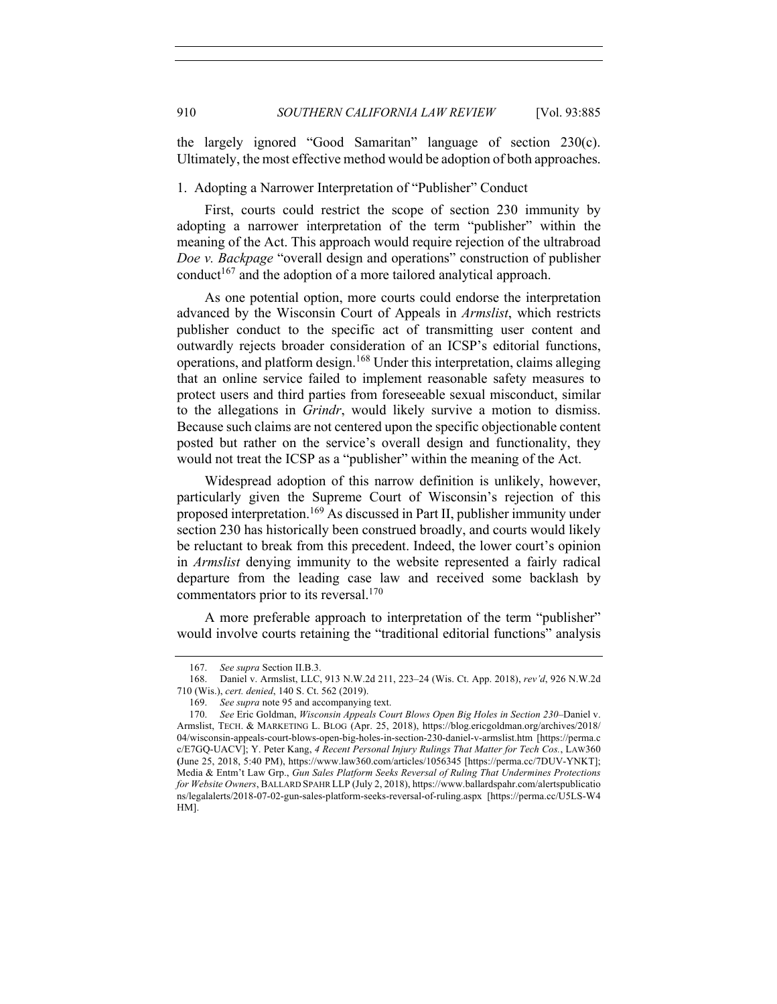the largely ignored "Good Samaritan" language of section 230(c). Ultimately, the most effective method would be adoption of both approaches.

## 1. Adopting a Narrower Interpretation of "Publisher" Conduct

First, courts could restrict the scope of section 230 immunity by adopting a narrower interpretation of the term "publisher" within the meaning of the Act. This approach would require rejection of the ultrabroad *Doe v. Backpage* "overall design and operations" construction of publisher conduct<sup>167</sup> and the adoption of a more tailored analytical approach.

As one potential option, more courts could endorse the interpretation advanced by the Wisconsin Court of Appeals in *Armslist*, which restricts publisher conduct to the specific act of transmitting user content and outwardly rejects broader consideration of an ICSP's editorial functions, operations, and platform design.<sup>168</sup> Under this interpretation, claims alleging that an online service failed to implement reasonable safety measures to protect users and third parties from foreseeable sexual misconduct, similar to the allegations in *Grindr*, would likely survive a motion to dismiss. Because such claims are not centered upon the specific objectionable content posted but rather on the service's overall design and functionality, they would not treat the ICSP as a "publisher" within the meaning of the Act.

Widespread adoption of this narrow definition is unlikely, however, particularly given the Supreme Court of Wisconsin's rejection of this proposed interpretation.169 As discussed in Part II, publisher immunity under section 230 has historically been construed broadly, and courts would likely be reluctant to break from this precedent. Indeed, the lower court's opinion in *Armslist* denying immunity to the website represented a fairly radical departure from the leading case law and received some backlash by commentators prior to its reversal.<sup>170</sup>

A more preferable approach to interpretation of the term "publisher" would involve courts retaining the "traditional editorial functions" analysis

<sup>167.</sup> *See supra* Section II.B.3.

<sup>168.</sup> Daniel v. Armslist, LLC, 913 N.W.2d 211, 223–24 (Wis. Ct. App. 2018), *rev'd*, 926 N.W.2d 710 (Wis.), *cert. denied*, 140 S. Ct. 562 (2019).

<sup>169.</sup> *See supra* note 95 and accompanying text.

<sup>170.</sup> *See* Eric Goldman, *Wisconsin Appeals Court Blows Open Big Holes in Section 230–*Daniel v. Armslist, TECH. & MARKETING L. BLOG (Apr. 25, 2018), https://blog.ericgoldman.org/archives/2018/ 04/wisconsin-appeals-court-blows-open-big-holes-in-section-230-daniel-v-armslist.htm [https://perma.c c/E7GQ-UACV]; Y. Peter Kang, *4 Recent Personal Injury Rulings That Matter for Tech Cos.*, LAW360 **(**June 25, 2018, 5:40 PM), https://www.law360.com/articles/1056345 [https://perma.cc/7DUV-YNKT]; Media & Entm't Law Grp., *Gun Sales Platform Seeks Reversal of Ruling That Undermines Protections for Website Owners*, BALLARD SPAHR LLP (July 2, 2018), https://www.ballardspahr.com/alertspublicatio ns/legalalerts/2018-07-02-gun-sales-platform-seeks-reversal-of-ruling.aspx [https://perma.cc/U5LS-W4 HM].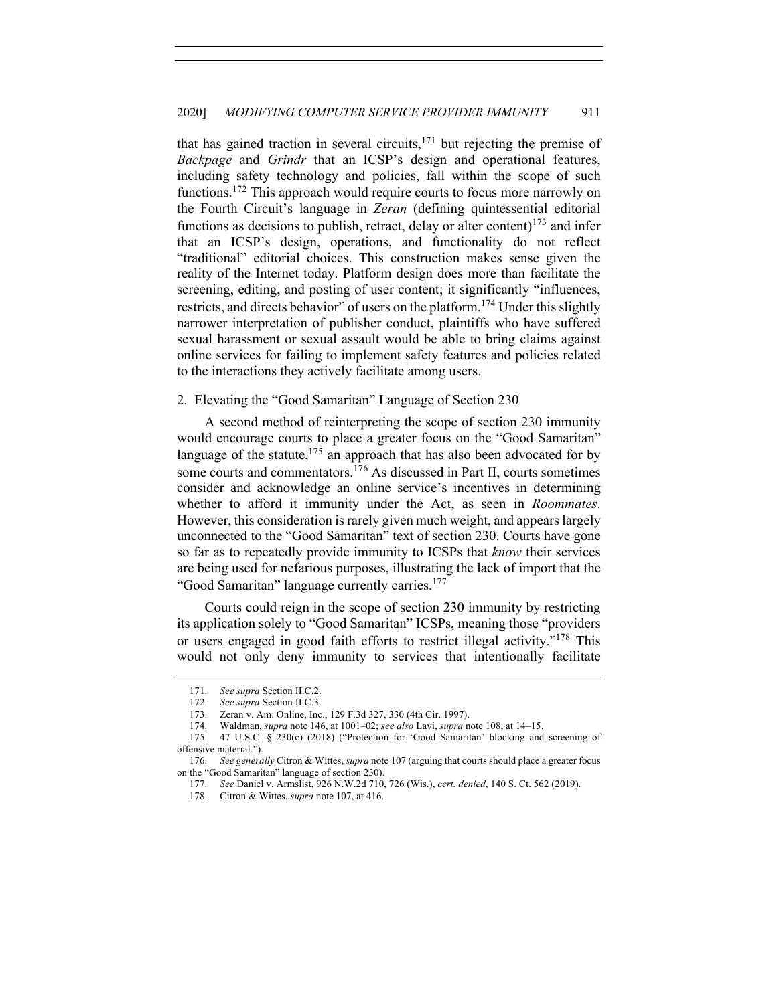that has gained traction in several circuits, $171$  but rejecting the premise of *Backpage* and *Grindr* that an ICSP's design and operational features, including safety technology and policies, fall within the scope of such functions.<sup>172</sup> This approach would require courts to focus more narrowly on the Fourth Circuit's language in *Zeran* (defining quintessential editorial functions as decisions to publish, retract, delay or alter content)<sup>173</sup> and infer that an ICSP's design, operations, and functionality do not reflect "traditional" editorial choices. This construction makes sense given the reality of the Internet today. Platform design does more than facilitate the screening, editing, and posting of user content; it significantly "influences, restricts, and directs behavior" of users on the platform.<sup>174</sup> Under this slightly narrower interpretation of publisher conduct, plaintiffs who have suffered sexual harassment or sexual assault would be able to bring claims against online services for failing to implement safety features and policies related to the interactions they actively facilitate among users.

#### 2. Elevating the "Good Samaritan" Language of Section 230

A second method of reinterpreting the scope of section 230 immunity would encourage courts to place a greater focus on the "Good Samaritan" language of the statute, $175$  an approach that has also been advocated for by some courts and commentators.<sup>176</sup> As discussed in Part II, courts sometimes consider and acknowledge an online service's incentives in determining whether to afford it immunity under the Act, as seen in *Roommates*. However, this consideration is rarely given much weight, and appears largely unconnected to the "Good Samaritan" text of section 230. Courts have gone so far as to repeatedly provide immunity to ICSPs that *know* their services are being used for nefarious purposes, illustrating the lack of import that the "Good Samaritan" language currently carries.<sup>177</sup>

Courts could reign in the scope of section 230 immunity by restricting its application solely to "Good Samaritan" ICSPs, meaning those "providers or users engaged in good faith efforts to restrict illegal activity."178 This would not only deny immunity to services that intentionally facilitate

<sup>171.</sup> *See supra* Section II.C.2.

<sup>172.</sup> *See supra* Section II.C.3.

<sup>173.</sup> Zeran v. Am. Online, Inc., 129 F.3d 327, 330 (4th Cir. 1997).

<sup>174.</sup> Waldman, *supra* note 146, at 1001–02; *see also* Lavi, *supra* note 108, at 14–15.

<sup>175.</sup> 47 U.S.C. § 230(c) (2018) ("Protection for 'Good Samaritan' blocking and screening of offensive material.").

<sup>176.</sup> *See generally* Citron & Wittes, *supra* note 107 (arguing that courts should place a greater focus on the "Good Samaritan" language of section 230).

<sup>177.</sup> *See* Daniel v. Armslist, 926 N.W.2d 710, 726 (Wis.), *cert. denied*, 140 S. Ct. 562 (2019).

<sup>178.</sup> Citron & Wittes, *supra* note 107, at 416.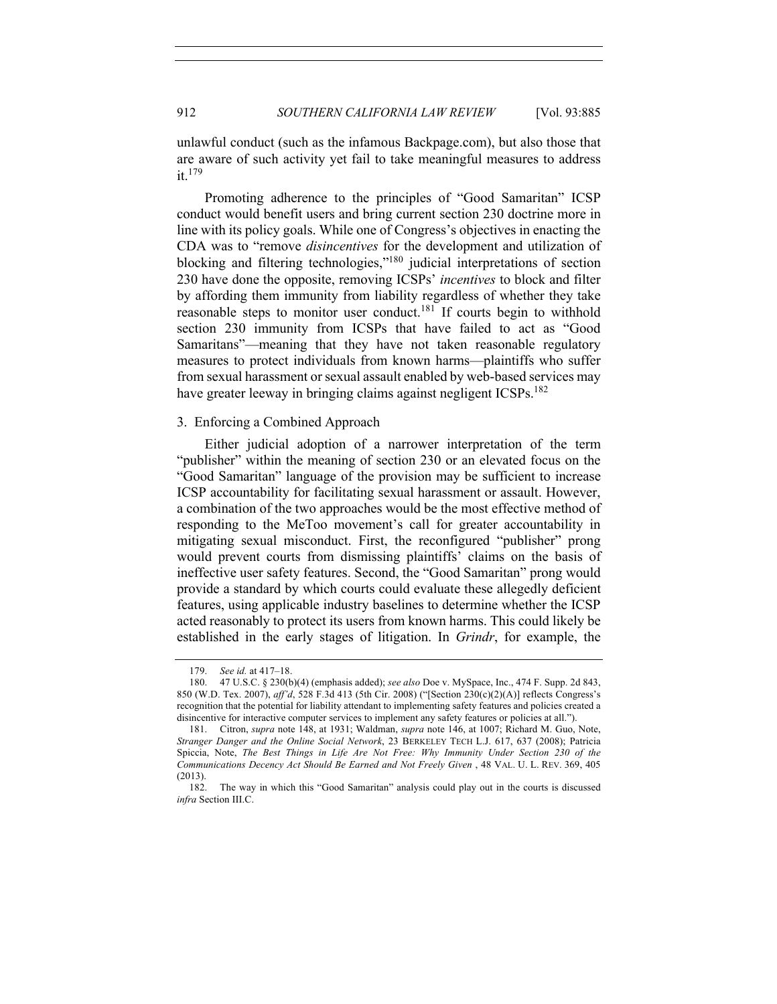unlawful conduct (such as the infamous Backpage.com), but also those that are aware of such activity yet fail to take meaningful measures to address it.<sup>179</sup>

Promoting adherence to the principles of "Good Samaritan" ICSP conduct would benefit users and bring current section 230 doctrine more in line with its policy goals. While one of Congress's objectives in enacting the CDA was to "remove *disincentives* for the development and utilization of blocking and filtering technologies,"180 judicial interpretations of section 230 have done the opposite, removing ICSPs' *incentives* to block and filter by affording them immunity from liability regardless of whether they take reasonable steps to monitor user conduct.<sup>181</sup> If courts begin to withhold section 230 immunity from ICSPs that have failed to act as "Good Samaritans"—meaning that they have not taken reasonable regulatory measures to protect individuals from known harms—plaintiffs who suffer from sexual harassment or sexual assault enabled by web-based services may have greater leeway in bringing claims against negligent ICSPs.<sup>182</sup>

### 3. Enforcing a Combined Approach

Either judicial adoption of a narrower interpretation of the term "publisher" within the meaning of section 230 or an elevated focus on the "Good Samaritan" language of the provision may be sufficient to increase ICSP accountability for facilitating sexual harassment or assault. However, a combination of the two approaches would be the most effective method of responding to the MeToo movement's call for greater accountability in mitigating sexual misconduct. First, the reconfigured "publisher" prong would prevent courts from dismissing plaintiffs' claims on the basis of ineffective user safety features. Second, the "Good Samaritan" prong would provide a standard by which courts could evaluate these allegedly deficient features, using applicable industry baselines to determine whether the ICSP acted reasonably to protect its users from known harms. This could likely be established in the early stages of litigation. In *Grindr*, for example, the

<sup>179.</sup> *See id.* at 417–18.

<sup>180.</sup> 47 U.S.C. § 230(b)(4) (emphasis added); *see also* Doe v. MySpace, Inc., 474 F. Supp. 2d 843, 850 (W.D. Tex. 2007), *aff'd*, 528 F.3d 413 (5th Cir. 2008) ("[Section 230(c)(2)(A)] reflects Congress's recognition that the potential for liability attendant to implementing safety features and policies created a disincentive for interactive computer services to implement any safety features or policies at all.").

<sup>181.</sup> Citron, *supra* note 148, at 1931; Waldman, *supra* note 146, at 1007; Richard M. Guo, Note, *Stranger Danger and the Online Social Network*, 23 BERKELEY TECH L.J. 617, 637 (2008); Patricia Spiccia, Note, *The Best Things in Life Are Not Free: Why Immunity Under Section 230 of the Communications Decency Act Should Be Earned and Not Freely Given* , 48 VAL. U. L. REV. 369, 405 (2013).

<sup>182.</sup> The way in which this "Good Samaritan" analysis could play out in the courts is discussed *infra* Section III.C.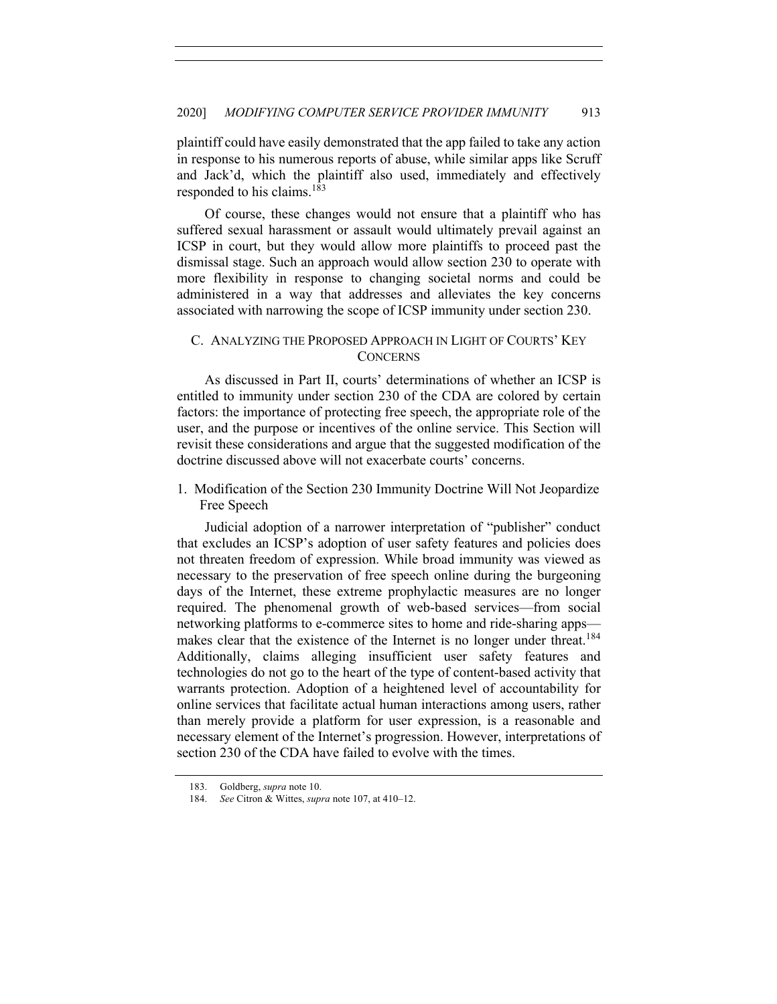plaintiff could have easily demonstrated that the app failed to take any action in response to his numerous reports of abuse, while similar apps like Scruff and Jack'd, which the plaintiff also used, immediately and effectively responded to his claims.<sup>183</sup>

Of course, these changes would not ensure that a plaintiff who has suffered sexual harassment or assault would ultimately prevail against an ICSP in court, but they would allow more plaintiffs to proceed past the dismissal stage. Such an approach would allow section 230 to operate with more flexibility in response to changing societal norms and could be administered in a way that addresses and alleviates the key concerns associated with narrowing the scope of ICSP immunity under section 230.

## C. ANALYZING THE PROPOSED APPROACH IN LIGHT OF COURTS' KEY **CONCERNS**

As discussed in Part II, courts' determinations of whether an ICSP is entitled to immunity under section 230 of the CDA are colored by certain factors: the importance of protecting free speech, the appropriate role of the user, and the purpose or incentives of the online service. This Section will revisit these considerations and argue that the suggested modification of the doctrine discussed above will not exacerbate courts' concerns.

1. Modification of the Section 230 Immunity Doctrine Will Not Jeopardize Free Speech

Judicial adoption of a narrower interpretation of "publisher" conduct that excludes an ICSP's adoption of user safety features and policies does not threaten freedom of expression. While broad immunity was viewed as necessary to the preservation of free speech online during the burgeoning days of the Internet, these extreme prophylactic measures are no longer required. The phenomenal growth of web-based services—from social networking platforms to e-commerce sites to home and ride-sharing apps makes clear that the existence of the Internet is no longer under threat.<sup>184</sup> Additionally, claims alleging insufficient user safety features and technologies do not go to the heart of the type of content-based activity that warrants protection. Adoption of a heightened level of accountability for online services that facilitate actual human interactions among users, rather than merely provide a platform for user expression, is a reasonable and necessary element of the Internet's progression. However, interpretations of section 230 of the CDA have failed to evolve with the times.

<sup>183.</sup> Goldberg, *supra* note 10.

<sup>184.</sup> *See* Citron & Wittes, *supra* note 107, at 410–12.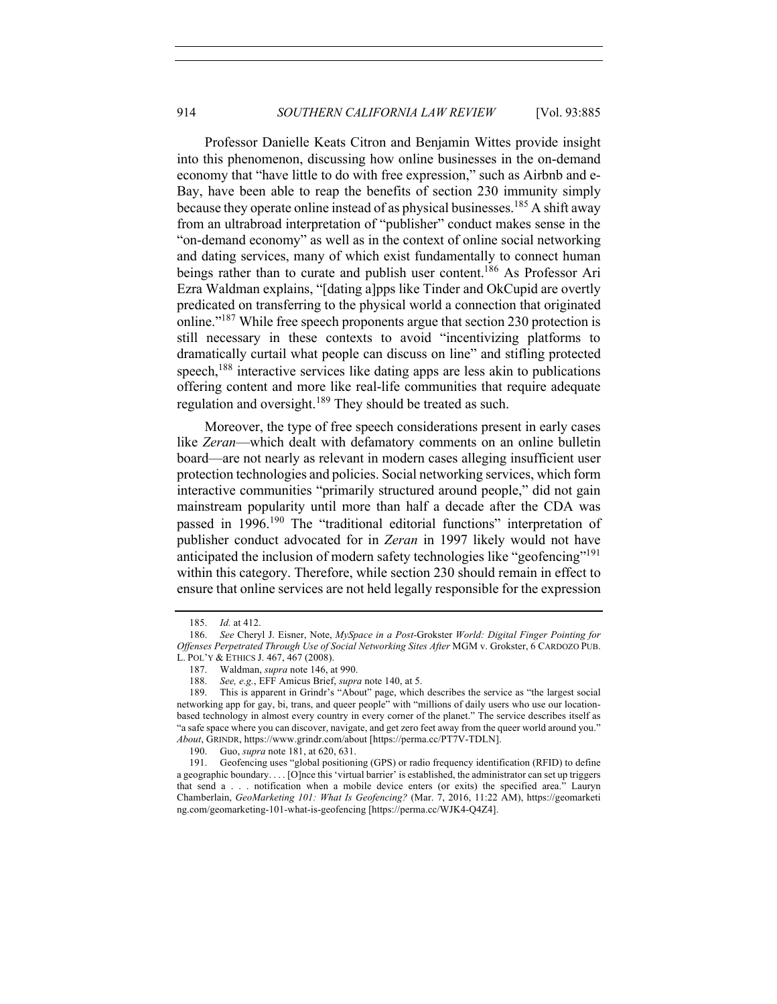Professor Danielle Keats Citron and Benjamin Wittes provide insight into this phenomenon, discussing how online businesses in the on-demand economy that "have little to do with free expression," such as Airbnb and e-Bay, have been able to reap the benefits of section 230 immunity simply because they operate online instead of as physical businesses.<sup>185</sup> A shift away from an ultrabroad interpretation of "publisher" conduct makes sense in the "on-demand economy" as well as in the context of online social networking and dating services, many of which exist fundamentally to connect human beings rather than to curate and publish user content.<sup>186</sup> As Professor Ari Ezra Waldman explains, "[dating a]pps like Tinder and OkCupid are overtly predicated on transferring to the physical world a connection that originated online."187 While free speech proponents argue that section 230 protection is still necessary in these contexts to avoid "incentivizing platforms to dramatically curtail what people can discuss on line" and stifling protected speech,<sup>188</sup> interactive services like dating apps are less akin to publications offering content and more like real-life communities that require adequate regulation and oversight.<sup>189</sup> They should be treated as such.

Moreover, the type of free speech considerations present in early cases like *Zeran*—which dealt with defamatory comments on an online bulletin board—are not nearly as relevant in modern cases alleging insufficient user protection technologies and policies. Social networking services, which form interactive communities "primarily structured around people," did not gain mainstream popularity until more than half a decade after the CDA was passed in 1996.<sup>190</sup> The "traditional editorial functions" interpretation of publisher conduct advocated for in *Zeran* in 1997 likely would not have anticipated the inclusion of modern safety technologies like "geofencing"<sup>191</sup> within this category. Therefore, while section 230 should remain in effect to ensure that online services are not held legally responsible for the expression

<sup>185.</sup> *Id.* at 412.

<sup>186.</sup> *See* Cheryl J. Eisner, Note, *MySpace in a Post-*Grokster *World: Digital Finger Pointing for Offenses Perpetrated Through Use of Social Networking Sites After* MGM v. Grokster, 6 CARDOZO PUB. L. POL'Y & ETHICS J. 467, 467 (2008).

<sup>187.</sup> Waldman, *supra* note 146, at 990.

<sup>188.</sup> *See, e.g.*, EFF Amicus Brief, *supra* note 140, at 5.

<sup>189.</sup> This is apparent in Grindr's "About" page, which describes the service as "the largest social networking app for gay, bi, trans, and queer people" with "millions of daily users who use our locationbased technology in almost every country in every corner of the planet." The service describes itself as "a safe space where you can discover, navigate, and get zero feet away from the queer world around you." *About*, GRINDR, https://www.grindr.com/about [https://perma.cc/PT7V-TDLN].

<sup>190.</sup> Guo, *supra* note 181, at 620, 631.

<sup>191.</sup> Geofencing uses "global positioning (GPS) or radio frequency identification (RFID) to define a geographic boundary. . . . [O]nce this 'virtual barrier' is established, the administrator can set up triggers that send a . . . notification when a mobile device enters (or exits) the specified area." Lauryn Chamberlain, *GeoMarketing 101: What Is Geofencing?* (Mar. 7, 2016, 11:22 AM), https://geomarketi ng.com/geomarketing-101-what-is-geofencing [https://perma.cc/WJK4-Q4Z4].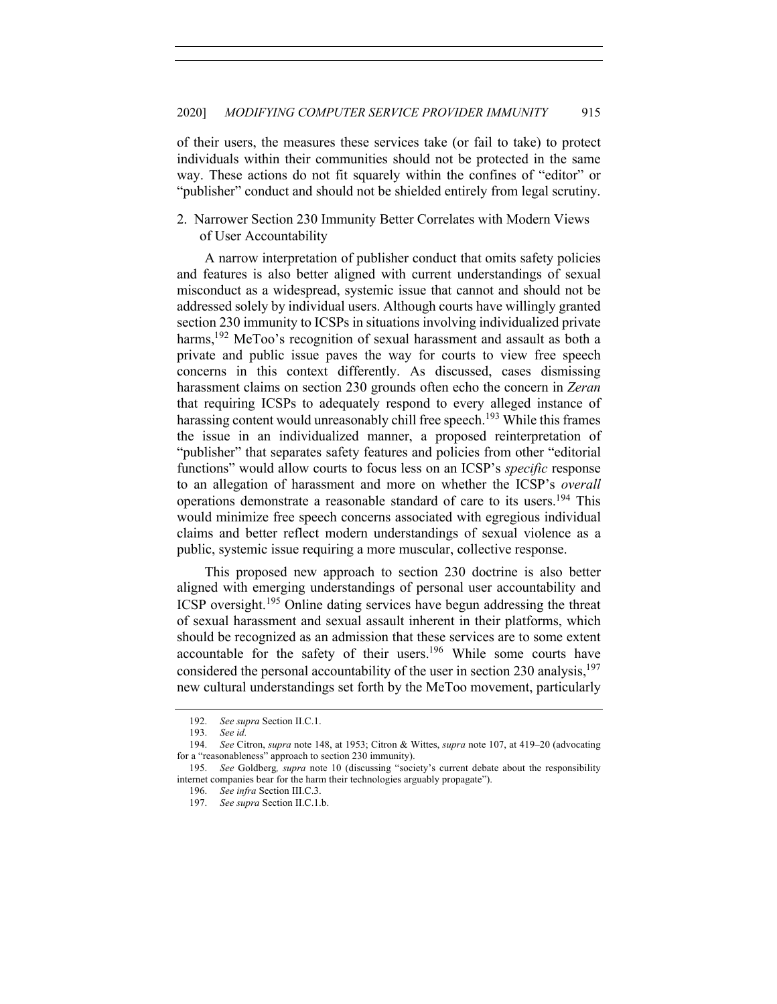of their users, the measures these services take (or fail to take) to protect individuals within their communities should not be protected in the same way. These actions do not fit squarely within the confines of "editor" or "publisher" conduct and should not be shielded entirely from legal scrutiny.

2. Narrower Section 230 Immunity Better Correlates with Modern Views of User Accountability

A narrow interpretation of publisher conduct that omits safety policies and features is also better aligned with current understandings of sexual misconduct as a widespread, systemic issue that cannot and should not be addressed solely by individual users. Although courts have willingly granted section 230 immunity to ICSPs in situations involving individualized private harms,<sup>192</sup> MeToo's recognition of sexual harassment and assault as both a private and public issue paves the way for courts to view free speech concerns in this context differently. As discussed, cases dismissing harassment claims on section 230 grounds often echo the concern in *Zeran* that requiring ICSPs to adequately respond to every alleged instance of harassing content would unreasonably chill free speech.<sup>193</sup> While this frames the issue in an individualized manner, a proposed reinterpretation of "publisher" that separates safety features and policies from other "editorial functions" would allow courts to focus less on an ICSP's *specific* response to an allegation of harassment and more on whether the ICSP's *overall* operations demonstrate a reasonable standard of care to its users.<sup>194</sup> This would minimize free speech concerns associated with egregious individual claims and better reflect modern understandings of sexual violence as a public, systemic issue requiring a more muscular, collective response.

This proposed new approach to section 230 doctrine is also better aligned with emerging understandings of personal user accountability and ICSP oversight.<sup>195</sup> Online dating services have begun addressing the threat of sexual harassment and sexual assault inherent in their platforms, which should be recognized as an admission that these services are to some extent accountable for the safety of their users.<sup>196</sup> While some courts have considered the personal accountability of the user in section 230 analysis,  $197$ new cultural understandings set forth by the MeToo movement, particularly

<sup>192.</sup> *See supra* Section II.C.1.

<sup>193.</sup> *See id.*

<sup>194.</sup> *See* Citron, *supra* note 148, at 1953; Citron & Wittes, *supra* note 107, at 419–20 (advocating for a "reasonableness" approach to section 230 immunity).

<sup>195.</sup> *See* Goldberg*, supra* note 10 (discussing "society's current debate about the responsibility internet companies bear for the harm their technologies arguably propagate").

<sup>196.</sup> *See infra* Section III.C.3.

<sup>197.</sup> *See supra* Section II.C.1.b.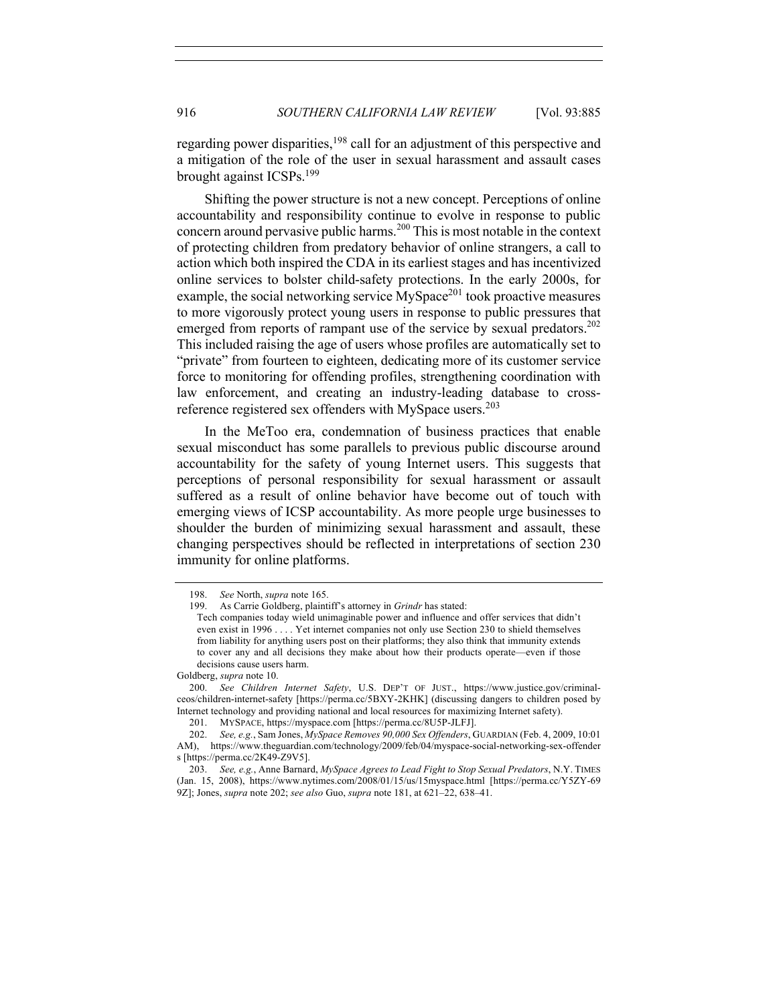regarding power disparities,<sup>198</sup> call for an adjustment of this perspective and a mitigation of the role of the user in sexual harassment and assault cases brought against ICSPs.199

Shifting the power structure is not a new concept. Perceptions of online accountability and responsibility continue to evolve in response to public concern around pervasive public harms.<sup>200</sup> This is most notable in the context of protecting children from predatory behavior of online strangers, a call to action which both inspired the CDA in its earliest stages and has incentivized online services to bolster child-safety protections. In the early 2000s, for example, the social networking service  $MySpace^{201}$  took proactive measures to more vigorously protect young users in response to public pressures that emerged from reports of rampant use of the service by sexual predators.<sup>202</sup> This included raising the age of users whose profiles are automatically set to "private" from fourteen to eighteen, dedicating more of its customer service force to monitoring for offending profiles, strengthening coordination with law enforcement, and creating an industry-leading database to crossreference registered sex offenders with MySpace users.<sup>203</sup>

In the MeToo era, condemnation of business practices that enable sexual misconduct has some parallels to previous public discourse around accountability for the safety of young Internet users. This suggests that perceptions of personal responsibility for sexual harassment or assault suffered as a result of online behavior have become out of touch with emerging views of ICSP accountability. As more people urge businesses to shoulder the burden of minimizing sexual harassment and assault, these changing perspectives should be reflected in interpretations of section 230 immunity for online platforms.

<sup>198.</sup> *See* North, *supra* note 165.

<sup>199.</sup> As Carrie Goldberg, plaintiff's attorney in *Grindr* has stated:

Tech companies today wield unimaginable power and influence and offer services that didn't even exist in 1996 . . . . Yet internet companies not only use Section 230 to shield themselves from liability for anything users post on their platforms; they also think that immunity extends to cover any and all decisions they make about how their products operate—even if those decisions cause users harm.

Goldberg, *supra* note 10.

<sup>200.</sup> *See Children Internet Safety*, U.S. DEP'T OF JUST., https://www.justice.gov/criminalceos/children-internet-safety [https://perma.cc/5BXY-2KHK] (discussing dangers to children posed by Internet technology and providing national and local resources for maximizing Internet safety).

<sup>201.</sup> MYSPACE, https://myspace.com [https://perma.cc/8U5P-JLFJ].

<sup>202.</sup> *See, e.g.*, Sam Jones, *MySpace Removes 90,000 Sex Offenders*, GUARDIAN (Feb. 4, 2009, 10:01 AM), https://www.theguardian.com/technology/2009/feb/04/myspace-social-networking-sex-offender s [https://perma.cc/2K49-Z9V5].

<sup>203.</sup> *See, e.g.*, Anne Barnard, *MySpace Agrees to Lead Fight to Stop Sexual Predators*, N.Y. TIMES (Jan. 15, 2008), https://www.nytimes.com/2008/01/15/us/15myspace.html [https://perma.cc/Y5ZY-69 9Z]; Jones, *supra* note 202; *see also* Guo, *supra* note 181, at 621–22, 638–41.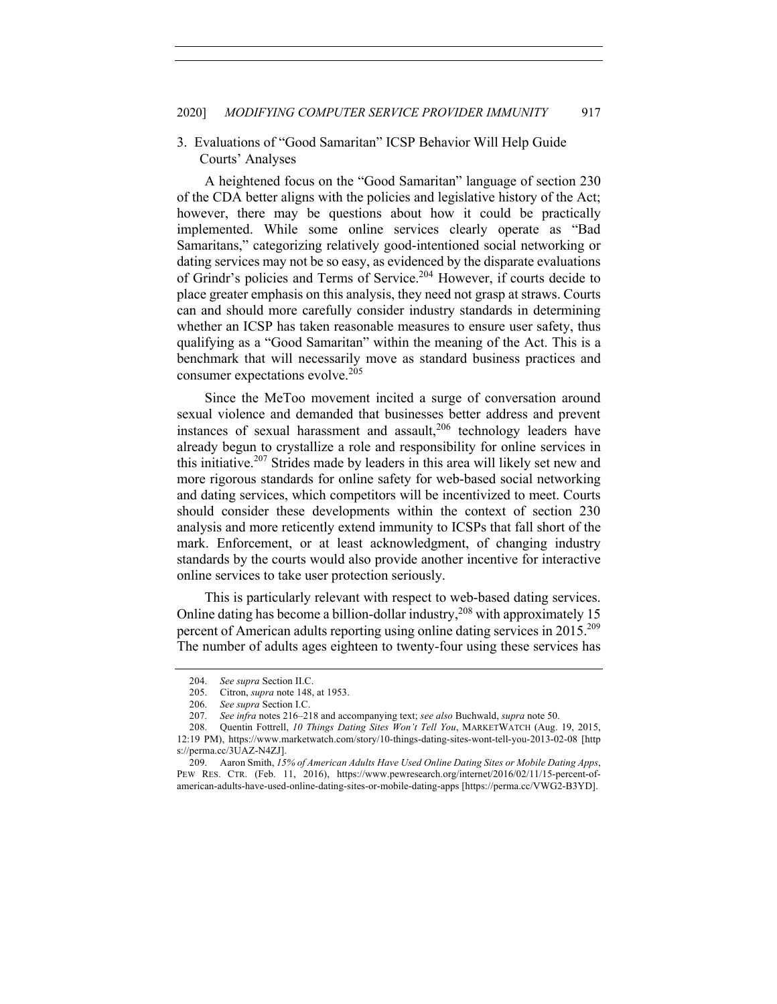## 3. Evaluations of "Good Samaritan" ICSP Behavior Will Help Guide Courts' Analyses

A heightened focus on the "Good Samaritan" language of section 230 of the CDA better aligns with the policies and legislative history of the Act; however, there may be questions about how it could be practically implemented. While some online services clearly operate as "Bad Samaritans," categorizing relatively good-intentioned social networking or dating services may not be so easy, as evidenced by the disparate evaluations of Grindr's policies and Terms of Service.204 However, if courts decide to place greater emphasis on this analysis, they need not grasp at straws. Courts can and should more carefully consider industry standards in determining whether an ICSP has taken reasonable measures to ensure user safety, thus qualifying as a "Good Samaritan" within the meaning of the Act. This is a benchmark that will necessarily move as standard business practices and consumer expectations evolve.<sup>205</sup>

Since the MeToo movement incited a surge of conversation around sexual violence and demanded that businesses better address and prevent instances of sexual harassment and assault, $206$  technology leaders have already begun to crystallize a role and responsibility for online services in this initiative.<sup>207</sup> Strides made by leaders in this area will likely set new and more rigorous standards for online safety for web-based social networking and dating services, which competitors will be incentivized to meet. Courts should consider these developments within the context of section 230 analysis and more reticently extend immunity to ICSPs that fall short of the mark. Enforcement, or at least acknowledgment, of changing industry standards by the courts would also provide another incentive for interactive online services to take user protection seriously.

This is particularly relevant with respect to web-based dating services. Online dating has become a billion-dollar industry,  $208$  with approximately 15 percent of American adults reporting using online dating services in 2015.<sup>209</sup> The number of adults ages eighteen to twenty-four using these services has

<sup>204.</sup> *See supra* Section II.C.

<sup>205.</sup> Citron, *supra* note 148, at 1953.

<sup>206.</sup> *See supra* Section I.C.

<sup>207.</sup> *See infra* notes 216–218 and accompanying text; *see also* Buchwald, *supra* note 50.

<sup>208.</sup> Quentin Fottrell, *10 Things Dating Sites Won't Tell You*, MARKETWATCH (Aug. 19, 2015, 12:19 PM), https://www.marketwatch.com/story/10-things-dating-sites-wont-tell-you-2013-02-08 [http s://perma.cc/3UAZ-N4ZJ].

<sup>209.</sup> Aaron Smith, *15% of American Adults Have Used Online Dating Sites or Mobile Dating Apps*, PEW RES. CTR. (Feb. 11, 2016), https://www.pewresearch.org/internet/2016/02/11/15-percent-ofamerican-adults-have-used-online-dating-sites-or-mobile-dating-apps [https://perma.cc/VWG2-B3YD].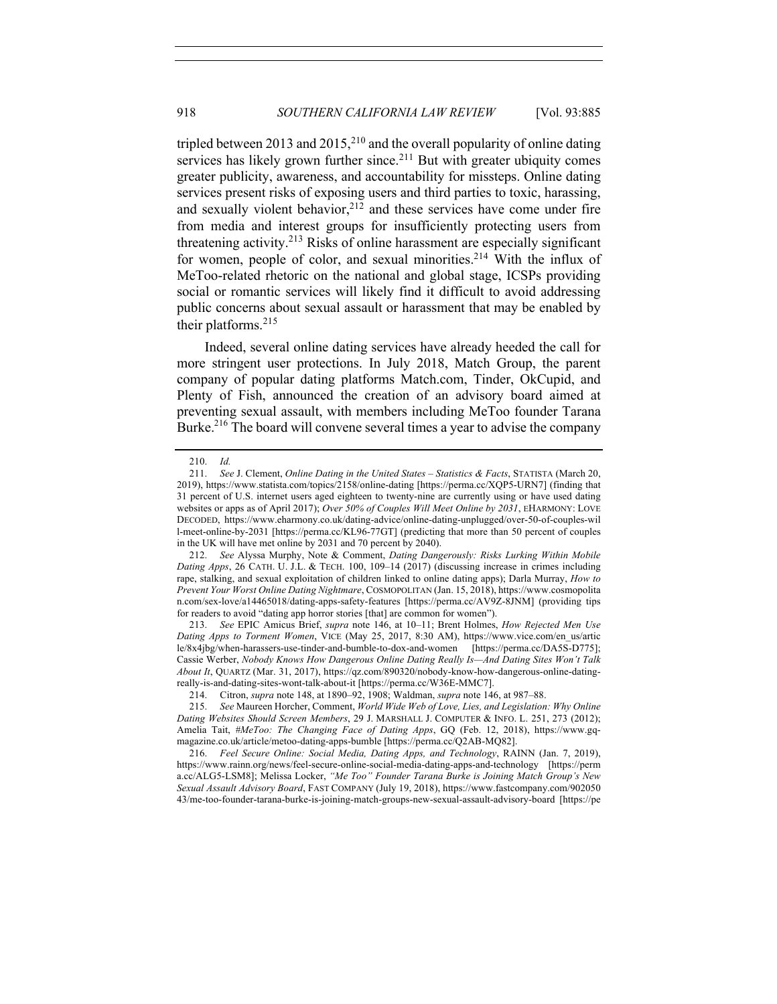tripled between 2013 and 2015,  $2^{10}$  and the overall popularity of online dating services has likely grown further since.<sup>211</sup> But with greater ubiquity comes greater publicity, awareness, and accountability for missteps. Online dating services present risks of exposing users and third parties to toxic, harassing, and sexually violent behavior,  $2^{12}$  and these services have come under fire from media and interest groups for insufficiently protecting users from threatening activity.<sup>213</sup> Risks of online harassment are especially significant for women, people of color, and sexual minorities.<sup>214</sup> With the influx of MeToo-related rhetoric on the national and global stage, ICSPs providing social or romantic services will likely find it difficult to avoid addressing public concerns about sexual assault or harassment that may be enabled by their platforms.<sup>215</sup>

Indeed, several online dating services have already heeded the call for more stringent user protections. In July 2018, Match Group, the parent company of popular dating platforms Match.com, Tinder, OkCupid, and Plenty of Fish, announced the creation of an advisory board aimed at preventing sexual assault, with members including MeToo founder Tarana Burke.<sup>216</sup> The board will convene several times a year to advise the company

<sup>210.</sup> *Id.*

<sup>211.</sup> *See* J. Clement, *Online Dating in the United States – Statistics & Facts*, STATISTA (March 20, 2019), https://www.statista.com/topics/2158/online-dating [https://perma.cc/XQP5-URN7] (finding that 31 percent of U.S. internet users aged eighteen to twenty-nine are currently using or have used dating websites or apps as of April 2017); *Over 50% of Couples Will Meet Online by 2031*, EHARMONY: LOVE DECODED, https://www.eharmony.co.uk/dating-advice/online-dating-unplugged/over-50-of-couples-wil l-meet-online-by-2031 [https://perma.cc/KL96-77GT] (predicting that more than 50 percent of couples in the UK will have met online by 2031 and 70 percent by 2040).

<sup>212.</sup> *See* Alyssa Murphy, Note & Comment, *Dating Dangerously: Risks Lurking Within Mobile Dating Apps*, 26 CATH. U. J.L. & TECH. 100, 109–14 (2017) (discussing increase in crimes including rape, stalking, and sexual exploitation of children linked to online dating apps); Darla Murray, *How to Prevent Your Worst Online Dating Nightmare*, COSMOPOLITAN (Jan. 15, 2018), https://www.cosmopolita n.com/sex-love/a14465018/dating-apps-safety-features [https://perma.cc/AV9Z-8JNM] (providing tips for readers to avoid "dating app horror stories [that] are common for women").

<sup>213.</sup> *See* EPIC Amicus Brief, *supra* note 146, at 10–11; Brent Holmes, *How Rejected Men Use Dating Apps to Torment Women*, VICE (May 25, 2017, 8:30 AM), https://www.vice.com/en\_us/artic le/8x4jbg/when-harassers-use-tinder-and-bumble-to-dox-and-women [https://perma.cc/DA5S-D775]; Cassie Werber, *Nobody Knows How Dangerous Online Dating Really Is—And Dating Sites Won't Talk About It*, QUARTZ (Mar. 31, 2017), https://qz.com/890320/nobody-know-how-dangerous-online-datingreally-is-and-dating-sites-wont-talk-about-it [https://perma.cc/W36E-MMC7].

<sup>214.</sup> Citron, *supra* note 148, at 1890–92, 1908; Waldman, *supra* note 146, at 987–88.

<sup>215.</sup> *See* Maureen Horcher, Comment, *World Wide Web of Love, Lies, and Legislation: Why Online Dating Websites Should Screen Members*, 29 J. MARSHALL J. COMPUTER & INFO. L. 251, 273 (2012); Amelia Tait, *#MeToo: The Changing Face of Dating Apps*, GQ (Feb. 12, 2018), https://www.gqmagazine.co.uk/article/metoo-dating-apps-bumble [https://perma.cc/Q2AB-MQ82].

<sup>216.</sup> *Feel Secure Online: Social Media, Dating Apps, and Technology*, RAINN (Jan. 7, 2019), https://www.rainn.org/news/feel-secure-online-social-media-dating-apps-and-technology [https://perm a.cc/ALG5-LSM8]; Melissa Locker, *"Me Too" Founder Tarana Burke is Joining Match Group's New Sexual Assault Advisory Board*, FAST COMPANY (July 19, 2018), https://www.fastcompany.com/902050 43/me-too-founder-tarana-burke-is-joining-match-groups-new-sexual-assault-advisory-board [https://pe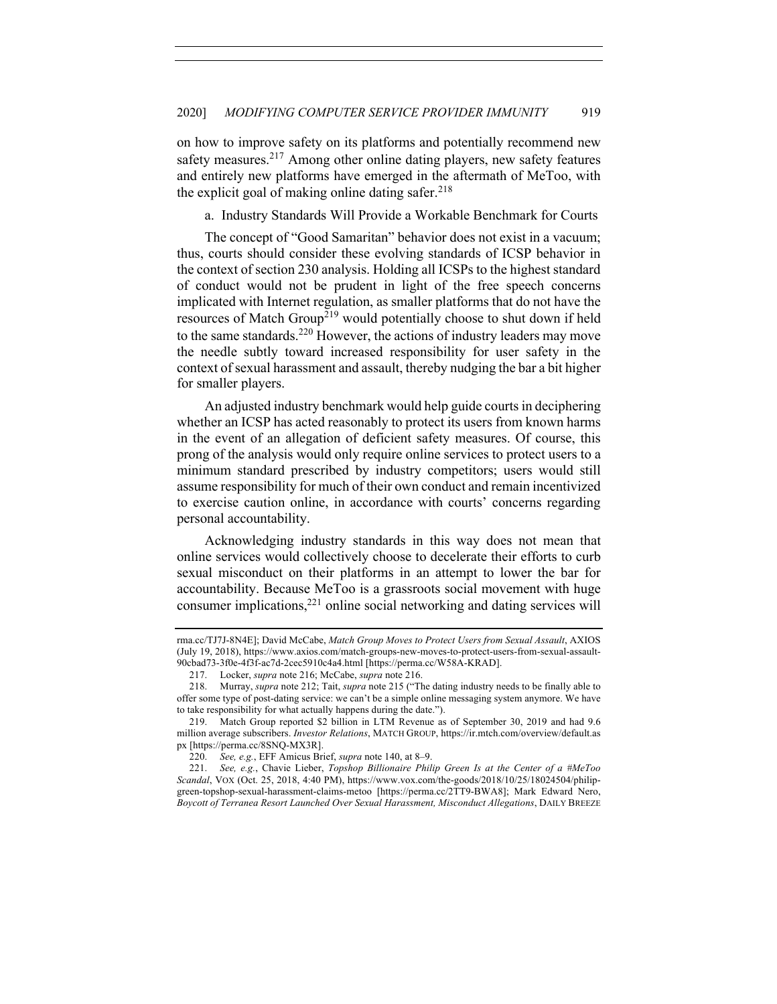on how to improve safety on its platforms and potentially recommend new safety measures. $2^{17}$  Among other online dating players, new safety features and entirely new platforms have emerged in the aftermath of MeToo, with the explicit goal of making online dating safer.  $218$ 

a. Industry Standards Will Provide a Workable Benchmark for Courts

The concept of "Good Samaritan" behavior does not exist in a vacuum; thus, courts should consider these evolving standards of ICSP behavior in the context of section 230 analysis. Holding all ICSPs to the highest standard of conduct would not be prudent in light of the free speech concerns implicated with Internet regulation, as smaller platforms that do not have the resources of Match Group<sup> $219$ </sup> would potentially choose to shut down if held to the same standards.<sup>220</sup> However, the actions of industry leaders may move the needle subtly toward increased responsibility for user safety in the context of sexual harassment and assault, thereby nudging the bar a bit higher for smaller players.

An adjusted industry benchmark would help guide courts in deciphering whether an ICSP has acted reasonably to protect its users from known harms in the event of an allegation of deficient safety measures. Of course, this prong of the analysis would only require online services to protect users to a minimum standard prescribed by industry competitors; users would still assume responsibility for much of their own conduct and remain incentivized to exercise caution online, in accordance with courts' concerns regarding personal accountability.

Acknowledging industry standards in this way does not mean that online services would collectively choose to decelerate their efforts to curb sexual misconduct on their platforms in an attempt to lower the bar for accountability. Because MeToo is a grassroots social movement with huge consumer implications, $2^{21}$  online social networking and dating services will

rma.cc/TJ7J-8N4E]; David McCabe, *Match Group Moves to Protect Users from Sexual Assault*, AXIOS (July 19, 2018), https://www.axios.com/match-groups-new-moves-to-protect-users-from-sexual-assault-90cbad73-3f0e-4f3f-ac7d-2cec5910c4a4.html [https://perma.cc/W58A-KRAD].

<sup>217.</sup> Locker, *supra* note 216; McCabe, *supra* note 216.

<sup>218.</sup> Murray, *supra* note 212; Tait, *supra* note 215 ("The dating industry needs to be finally able to offer some type of post-dating service: we can't be a simple online messaging system anymore. We have to take responsibility for what actually happens during the date.").

<sup>219.</sup> Match Group reported \$2 billion in LTM Revenue as of September 30, 2019 and had 9.6 million average subscribers. *Investor Relations*, MATCH GROUP, https://ir.mtch.com/overview/default.as px [https://perma.cc/8SNQ-MX3R].

<sup>220.</sup> *See, e.g.*, EFF Amicus Brief, *supra* note 140, at 8–9.

<sup>221.</sup> *See, e.g.*, Chavie Lieber, *Topshop Billionaire Philip Green Is at the Center of a #MeToo Scandal*, VOX (Oct. 25, 2018, 4:40 PM), https://www.vox.com/the-goods/2018/10/25/18024504/philipgreen-topshop-sexual-harassment-claims-metoo [https://perma.cc/2TT9-BWA8]; Mark Edward Nero, *Boycott of Terranea Resort Launched Over Sexual Harassment, Misconduct Allegations*, DAILY BREEZE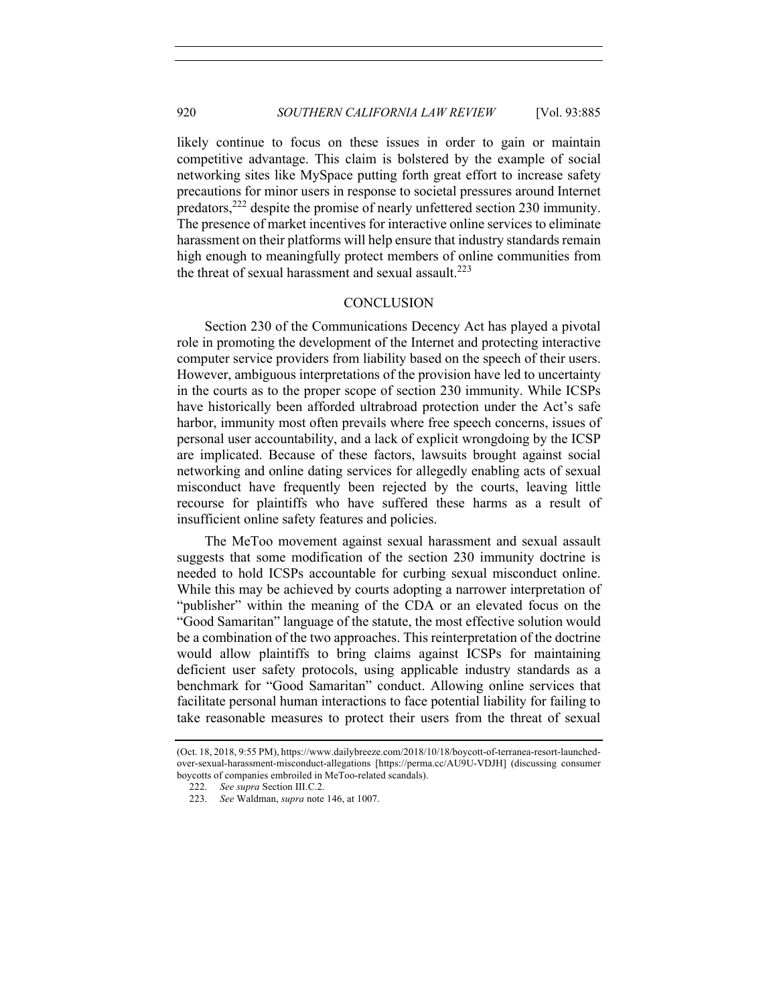likely continue to focus on these issues in order to gain or maintain competitive advantage. This claim is bolstered by the example of social networking sites like MySpace putting forth great effort to increase safety precautions for minor users in response to societal pressures around Internet predators,222 despite the promise of nearly unfettered section 230 immunity. The presence of market incentives for interactive online services to eliminate harassment on their platforms will help ensure that industry standards remain high enough to meaningfully protect members of online communities from the threat of sexual harassment and sexual assault.<sup>223</sup>

#### **CONCLUSION**

Section 230 of the Communications Decency Act has played a pivotal role in promoting the development of the Internet and protecting interactive computer service providers from liability based on the speech of their users. However, ambiguous interpretations of the provision have led to uncertainty in the courts as to the proper scope of section 230 immunity. While ICSPs have historically been afforded ultrabroad protection under the Act's safe harbor, immunity most often prevails where free speech concerns, issues of personal user accountability, and a lack of explicit wrongdoing by the ICSP are implicated. Because of these factors, lawsuits brought against social networking and online dating services for allegedly enabling acts of sexual misconduct have frequently been rejected by the courts, leaving little recourse for plaintiffs who have suffered these harms as a result of insufficient online safety features and policies.

The MeToo movement against sexual harassment and sexual assault suggests that some modification of the section 230 immunity doctrine is needed to hold ICSPs accountable for curbing sexual misconduct online. While this may be achieved by courts adopting a narrower interpretation of "publisher" within the meaning of the CDA or an elevated focus on the "Good Samaritan" language of the statute, the most effective solution would be a combination of the two approaches. This reinterpretation of the doctrine would allow plaintiffs to bring claims against ICSPs for maintaining deficient user safety protocols, using applicable industry standards as a benchmark for "Good Samaritan" conduct. Allowing online services that facilitate personal human interactions to face potential liability for failing to take reasonable measures to protect their users from the threat of sexual

<sup>(</sup>Oct. 18, 2018, 9:55 PM), https://www.dailybreeze.com/2018/10/18/boycott-of-terranea-resort-launchedover-sexual-harassment-misconduct-allegations [https://perma.cc/AU9U-VDJH] (discussing consumer boycotts of companies embroiled in MeToo-related scandals).

<sup>222.</sup> *See supra* Section III.C.2.

<sup>223.</sup> *See* Waldman, *supra* note 146, at 1007.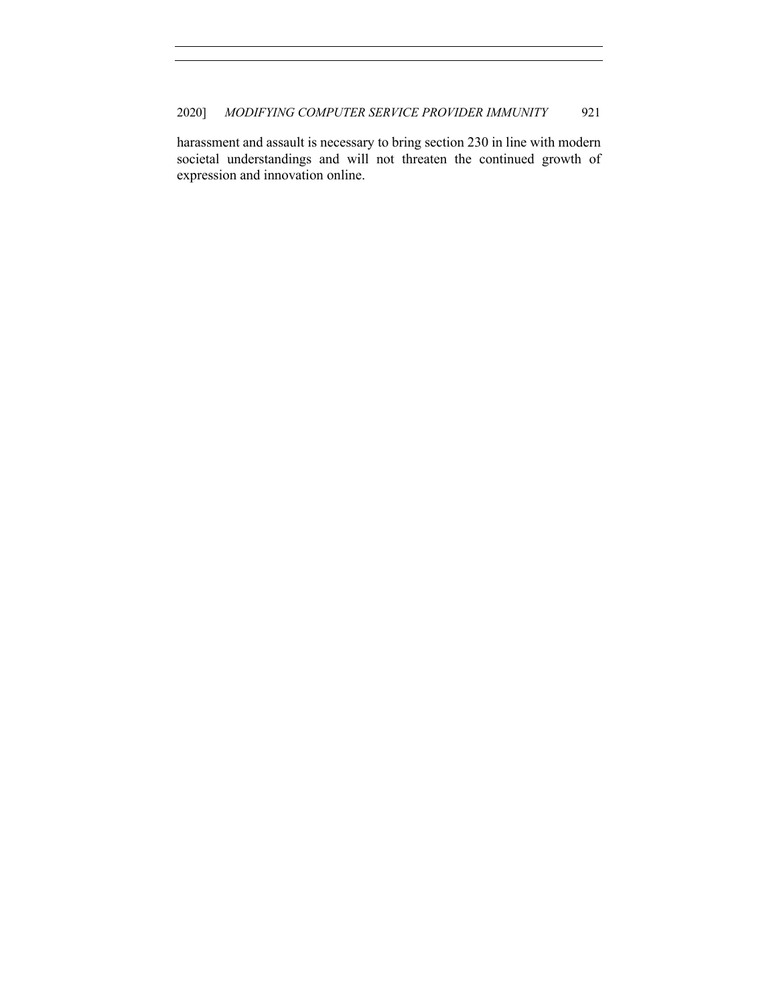harassment and assault is necessary to bring section 230 in line with modern societal understandings and will not threaten the continued growth of expression and innovation online.